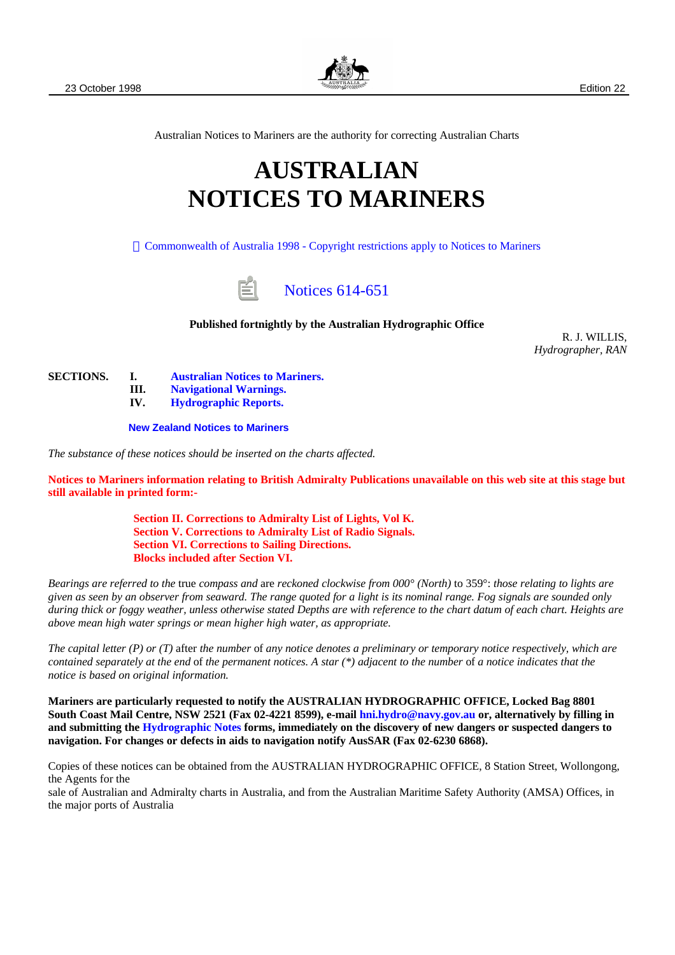

Australian Notices to Mariners are the authority for correcting Australian Charts

# **AUSTRALIAN NOTICES TO MARINERS**

 [Commonwealth of Australia 1998 - Copyright restrictions apply to Notices to Mariners](#page-1-0)

# [Notices 614-651](#page-1-1)

#### **Published fortnightly by the Australian Hydrographic Office**

R. J. WILLIS, *Hydrographer, RAN*

**SECTIONS. I. [Australian Notices to Mariners.](#page-1-1)**

**III. [Navigational Warnings.](#page-40-0)**

**IV. [Hydrographic Reports.](#page-41-0)**

**[New Zealand Notices to Mariners](http://wp1.co.nz/charts/ntm.html)**

*The substance of these notices should be inserted on the charts affected.*

**Notices to Mariners information relating to British Admiralty Publications unavailable on this web site at this stage but still available in printed form:-**

> **Section II. Corrections to Admiralty List of Lights, Vol K. Section V. Corrections to Admiralty List of Radio Signals. Section VI. Corrections to Sailing Directions. Blocks included after Section VI.**

*Bearings are referred to the* true *compass and* are *reckoned clockwise from 000° (North)* to 359°: *those relating to lights are given as seen by an observer from seaward. The range quoted for a light is its nominal range. Fog signals are sounded only during thick or foggy weather, unless otherwise stated Depths are with reference to the chart datum of each chart. Heights are above mean high water springs or mean higher high water, as appropriate.*

*The capital letter (P) or (T)* after *the number* of *any notice denotes a preliminary or temporary notice respectively, which are contained separately at the end* of *the permanent notices. A star (\*) adjacent to the number* of *a notice indicates that the notice is based on original information.*

**Mariners are particularly requested to notify the AUSTRALIAN HYDROGRAPHIC OFFICE, Locked Bag 8801 South Coast Mail Centre, NSW 2521 (Fax 02-4221 8599), e-mail [hni.hydro@navy.gov.au](mailto:hni.hydro@nav.gov.au) or, alternatively by filling in and submitting the [Hydrographic Notes](http://www.hydro.navy.gov.au/prodserv/n2m/hydronotes.htm) forms, immediately on the discovery of new dangers or suspected dangers to navigation. For changes or defects in aids to navigation notify AusSAR (Fax 02-6230 6868).**

Copies of these notices can be obtained from the AUSTRALIAN HYDROGRAPHIC OFFICE, 8 Station Street, Wollongong, the Agents for the

sale of Australian and Admiralty charts in Australia, and from the Australian Maritime Safety Authority (AMSA) Offices, in the major ports of Australia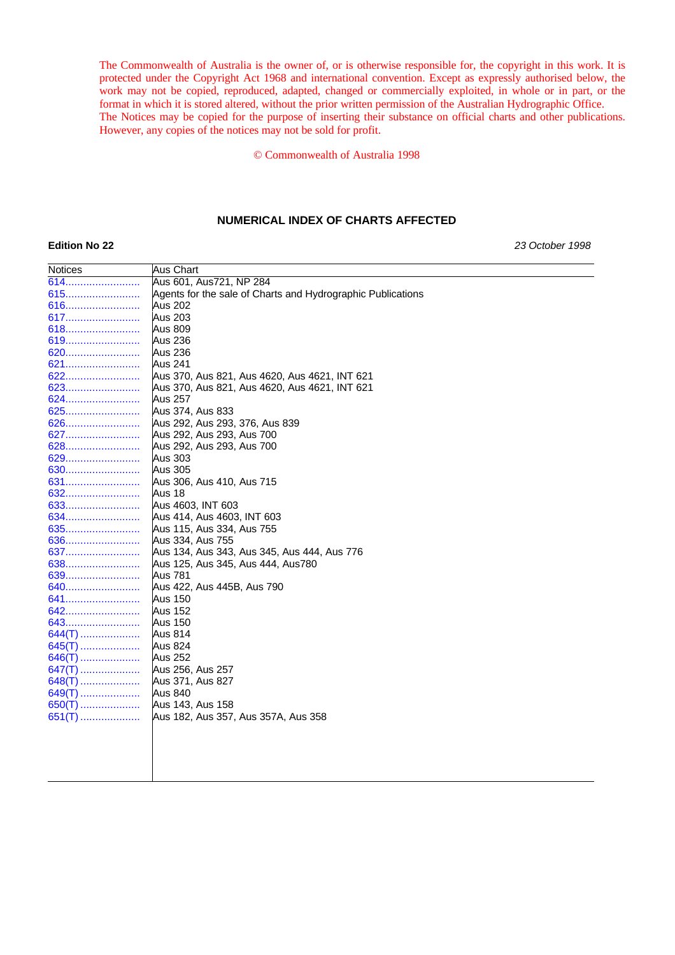<span id="page-1-0"></span>The Commonwealth of Australia is the owner of, or is otherwise responsible for, the copyright in this work. It is protected under the Copyright Act 1968 and international convention. Except as expressly authorised below, the work may not be copied, reproduced, adapted, changed or commercially exploited, in whole or in part, or the format in which it is stored altered, without the prior written permission of the Australian Hydrographic Office. The Notices may be copied for the purpose of inserting their substance on official charts and other publications. However, any copies of the notices may not be sold for profit.

© Commonwealth of Australia 1998

#### **NUMERICAL INDEX OF CHARTS AFFECTED**

Notices **Aus Chart** 

<span id="page-1-1"></span>**Edition No 22** *23 October 1998*

| 614      | Aus 601, Aus721, NP 284                                     |
|----------|-------------------------------------------------------------|
| 615      | Agents for the sale of Charts and Hydrographic Publications |
| 616      | <b>Aus 202</b>                                              |
| 617      | <b>Aus 203</b>                                              |
| 618      | Aus 809                                                     |
|          | Aus 236                                                     |
| 620      | Aus 236                                                     |
| 621      | Aus 241                                                     |
| 622      | Aus 370, Aus 821, Aus 4620, Aus 4621, INT 621               |
|          | Aus 370, Aus 821, Aus 4620, Aus 4621, INT 621               |
| 624      | <b>Aus 257</b>                                              |
| 625      | Aus 374, Aus 833                                            |
| 626      | Aus 292, Aus 293, 376, Aus 839                              |
| 627      | Aus 292, Aus 293, Aus 700                                   |
| 628      | Aus 292, Aus 293, Aus 700                                   |
|          | <b>Aus 303</b>                                              |
| 630      | Aus 305                                                     |
| 631      | Aus 306, Aus 410, Aus 715                                   |
| 632      | Aus 18                                                      |
| 633      | Aus 4603, INT 603                                           |
| 634      | Aus 414, Aus 4603, INT 603                                  |
| 635      | Aus 115, Aus 334, Aus 755                                   |
|          | Aus 334, Aus 755                                            |
| 637      | Aus 134, Aus 343, Aus 345, Aus 444, Aus 776                 |
| 638      | Aus 125, Aus 345, Aus 444, Aus780                           |
| 639      | Aus 781                                                     |
| 640      | Aus 422, Aus 445B, Aus 790                                  |
| 641      | Aus 150                                                     |
| 642      | Aus 152                                                     |
| 643      | <b>Aus 150</b>                                              |
| 644(T)   | Aus 814                                                     |
| $645(T)$ | Aus 824                                                     |
| 646(T)   | <b>Aus 252</b>                                              |
| $647(T)$ | Aus 256, Aus 257                                            |
| $648(T)$ | Aus 371, Aus 827                                            |
| $649(T)$ | Aus 840                                                     |
| 650(T)   | Aus 143, Aus 158                                            |
| $651(T)$ | Aus 182, Aus 357, Aus 357A, Aus 358                         |
|          |                                                             |
|          |                                                             |
|          |                                                             |
|          |                                                             |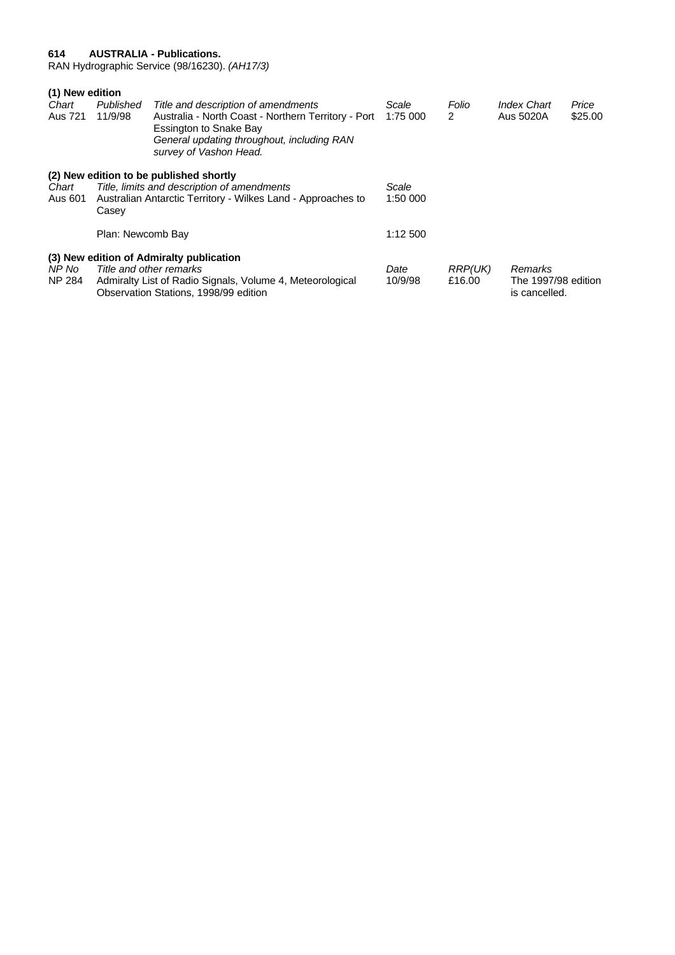#### <span id="page-2-0"></span>**614 AUSTRALIA - Publications.**

RAN Hydrographic Service (98/16230). *(AH17/3)*

| (1) New edition |                   |                                                                                                                                                       |          |                |                                      |         |
|-----------------|-------------------|-------------------------------------------------------------------------------------------------------------------------------------------------------|----------|----------------|--------------------------------------|---------|
| Chart           | Published         | Title and description of amendments                                                                                                                   | Scale    | Folio          | <b>Index Chart</b>                   | Price   |
| Aus 721         | 11/9/98           | Australia - North Coast - Northern Territory - Port<br>Essington to Snake Bay<br>General updating throughout, including RAN<br>survey of Vashon Head. | 1:75 000 | 2              | Aus 5020A                            | \$25.00 |
|                 |                   | (2) New edition to be published shortly                                                                                                               |          |                |                                      |         |
| Chart           |                   | Title, limits and description of amendments                                                                                                           | Scale    |                |                                      |         |
| Aus 601         | Casey             | Australian Antarctic Territory - Wilkes Land - Approaches to                                                                                          | 1:50 000 |                |                                      |         |
|                 | Plan: Newcomb Bay |                                                                                                                                                       | 1:12 500 |                |                                      |         |
|                 |                   | (3) New edition of Admiralty publication                                                                                                              |          |                |                                      |         |
| NP No           |                   | Title and other remarks                                                                                                                               | Date     | <b>RRP(UK)</b> | Remarks                              |         |
| <b>NP 284</b>   |                   | Admiralty List of Radio Signals, Volume 4, Meteorological<br>Observation Stations, 1998/99 edition                                                    | 10/9/98  | £16.00         | The 1997/98 edition<br>is cancelled. |         |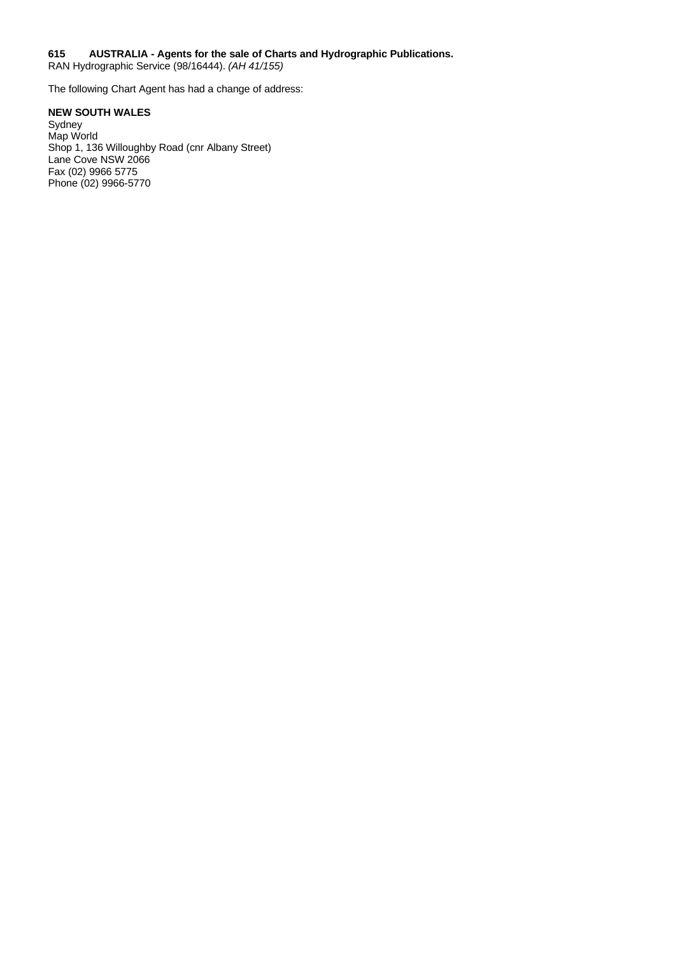#### <span id="page-3-0"></span>**615 AUSTRALIA - Agents for the sale of Charts and Hydrographic Publications.**

RAN Hydrographic Service (98/16444). *(AH 41/155)*

The following Chart Agent has had a change of address:

### **NEW SOUTH WALES**

Sydney Map World Shop 1, 136 Willoughby Road (cnr Albany Street) Lane Cove NSW 2066 Fax (02) 9966 5775 Phone (02) 9966-5770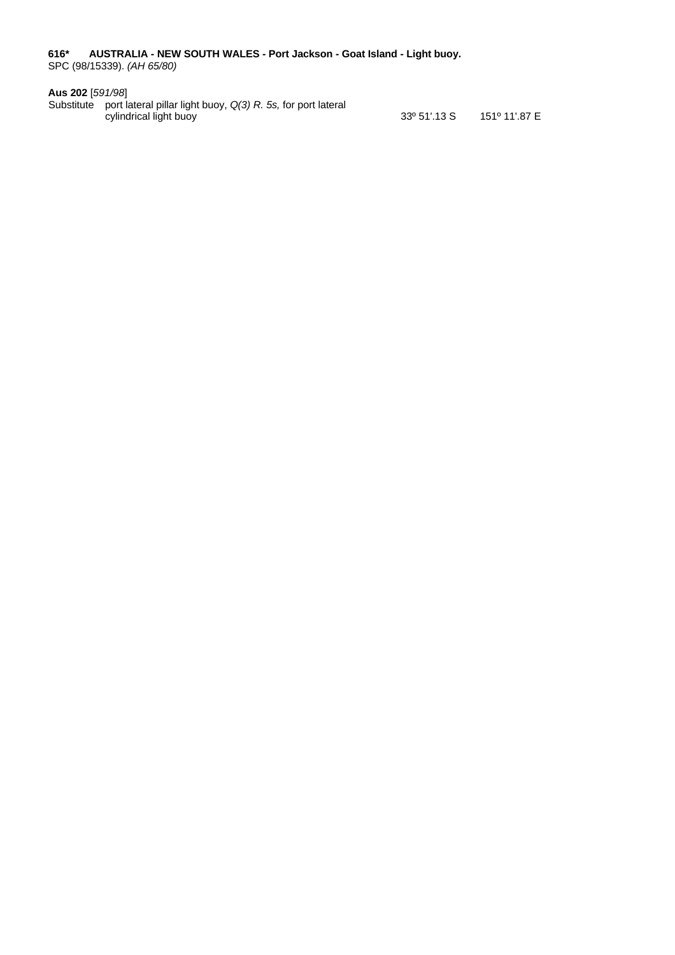<span id="page-4-0"></span>**616\* AUSTRALIA - NEW SOUTH WALES - Port Jackson - Goat Island - Light buoy.** SPC (98/15339). *(AH 65/80)*

#### **Aus 202** [*591/98*]

Substitute port lateral pillar light buoy, *Q(3) R. 5s,* for port lateral cylindrical light buoy 33º 51'.13 S 151º 11'.87 E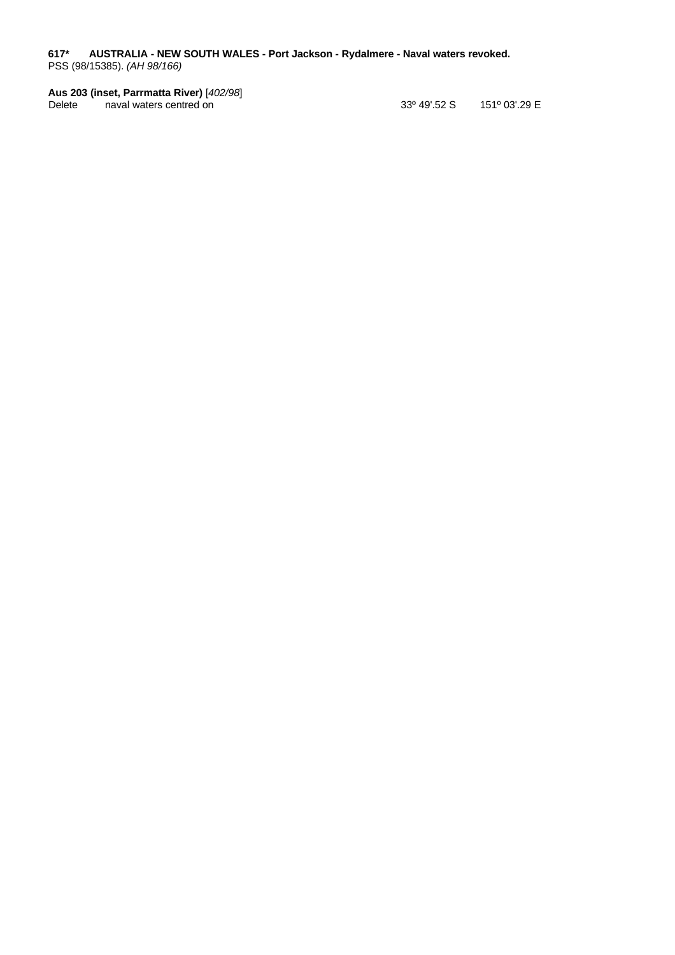<span id="page-5-0"></span>**617\* AUSTRALIA - NEW SOUTH WALES - Port Jackson - Rydalmere - Naval waters revoked.** PSS (98/15385). *(AH 98/166)*

# **Aus 203 (inset, Parrmatta River)** [*402/98*]

33º 49'.52 S 151º 03'.29 E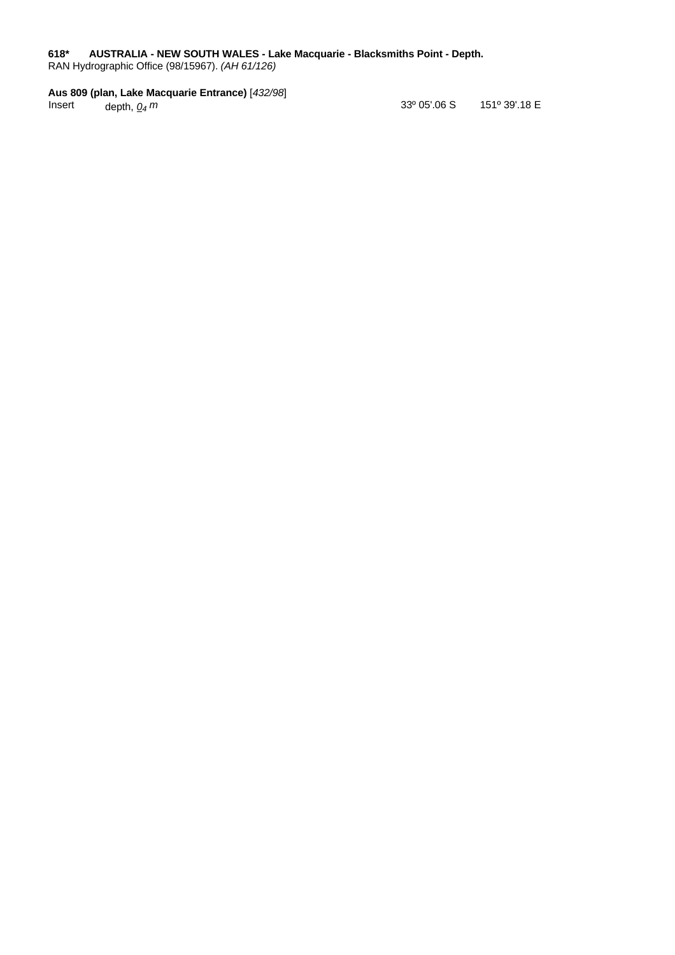### <span id="page-6-0"></span>**618\* AUSTRALIA - NEW SOUTH WALES - Lake Macquarie - Blacksmiths Point - Depth.**

RAN Hydrographic Office (98/15967). *(AH 61/126)*

# **Aus 809 (plan, Lake Macquarie Entrance)** [*432/98*]

depth,  $Q_4$   $m$ 

 *m* 33º 05'.06 S 151º 39'.18 E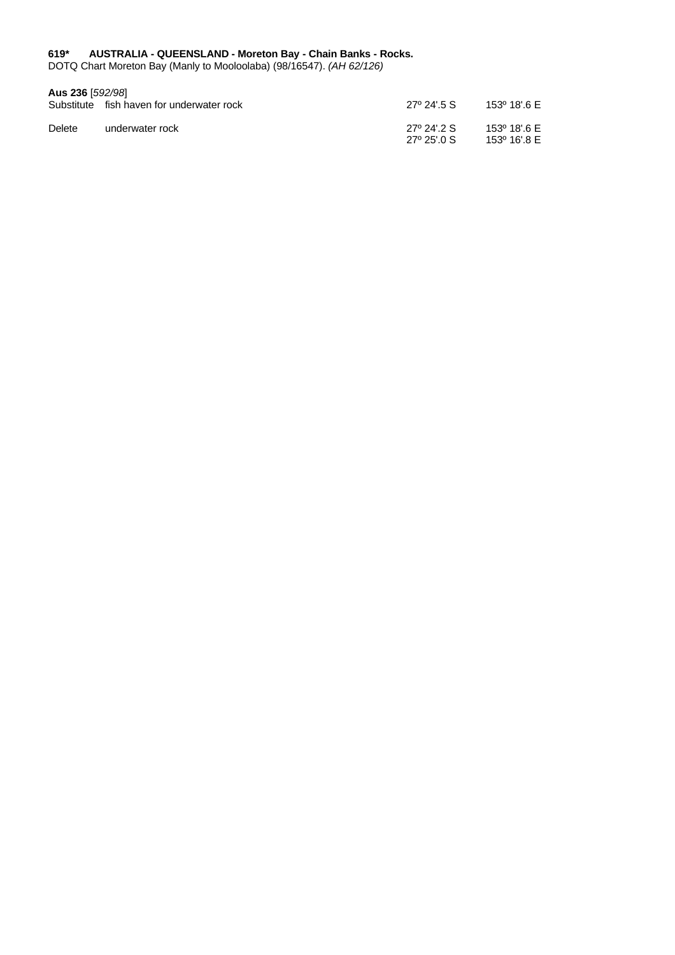#### <span id="page-7-0"></span>**619\* AUSTRALIA - QUEENSLAND - Moreton Bay - Chain Banks - Rocks.**

DOTQ Chart Moreton Bay (Manly to Mooloolaba) (98/16547). *(AH 62/126)*

### **Aus 236** [*592/98*]

|        | Substitute fish haven for underwater rock | $27^{\circ}$ 24' 5 S       | 153º 18'.6 E                 |
|--------|-------------------------------------------|----------------------------|------------------------------|
| Delete | underwater rock                           | 27º 24' 2 S<br>27° 25' 0 S | 153º 18' 6 E<br>153º 16'.8 E |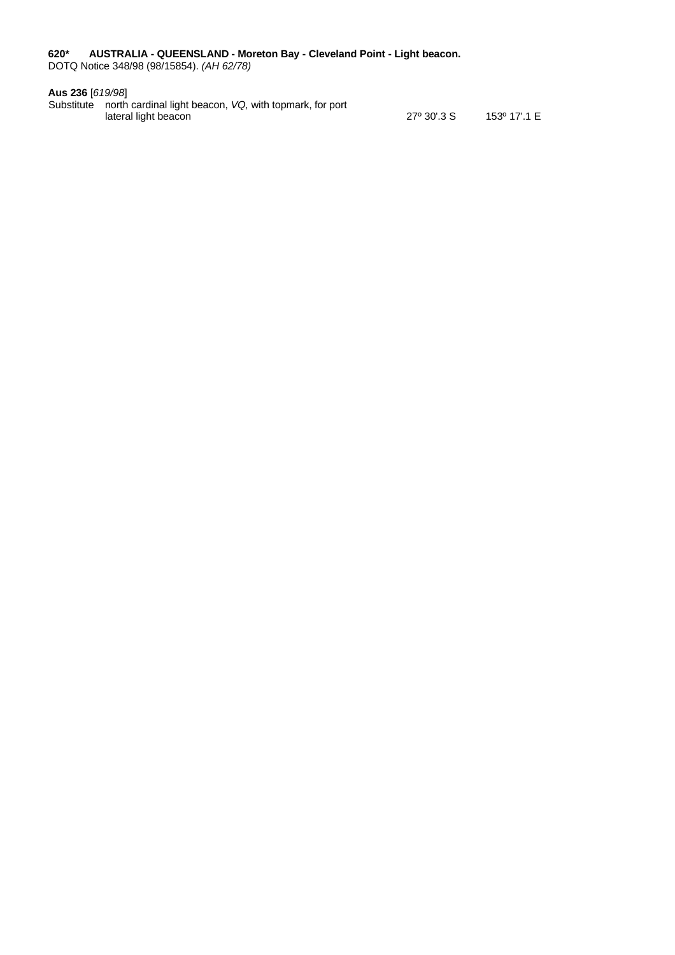<span id="page-8-0"></span>**620\* AUSTRALIA - QUEENSLAND - Moreton Bay - Cleveland Point - Light beacon.** DOTQ Notice 348/98 (98/15854). *(AH 62/78)*

#### **Aus 236** [*619/98*]

Substitute north cardinal light beacon, *VQ,* with topmark, for port lateral light beacon 27º 30'.3 S 153º 17'.1 E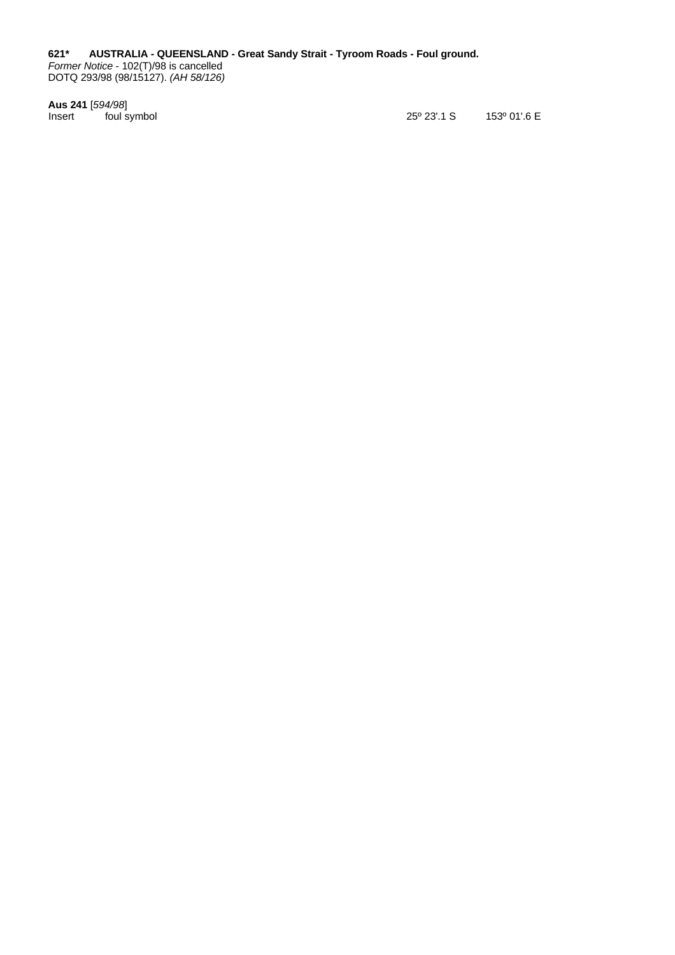<span id="page-9-0"></span>**621\* AUSTRALIA - QUEENSLAND - Great Sandy Strait - Tyroom Roads - Foul ground.** *Former Notice* - 102(T)/98 is cancelled DOTQ 293/98 (98/15127). *(AH 58/126)*

**Aus 241** [*594/98*]

25º 23'.1 S 153º 01'.6 E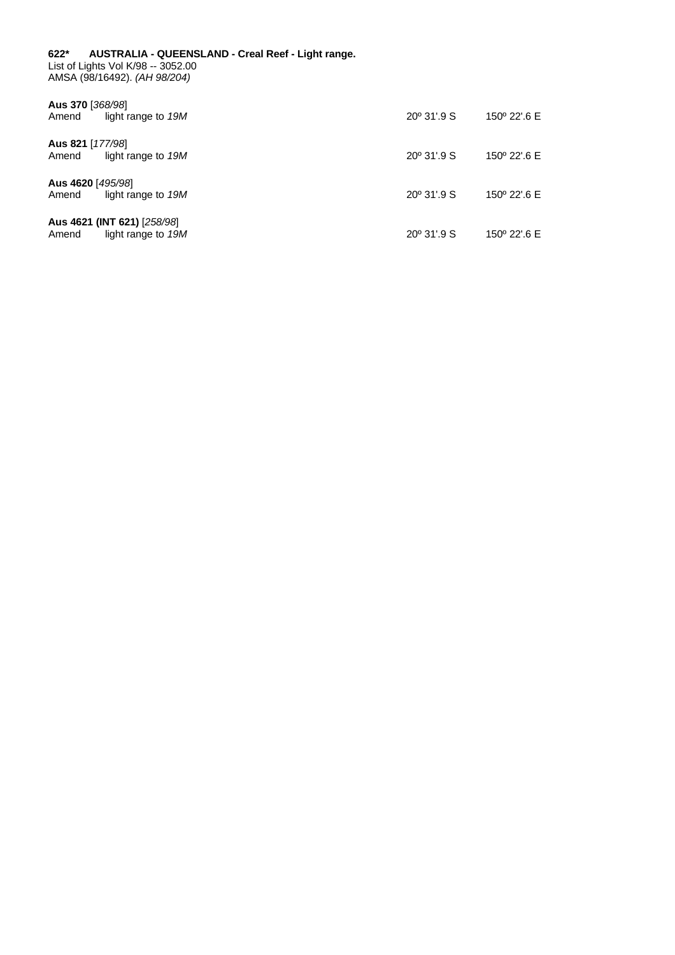#### <span id="page-10-0"></span>**622\* AUSTRALIA - QUEENSLAND - Creal Reef - Light range.** List of Lights Vol K/98 -- 3052.00 AMSA (98/16492). *(AH 98/204)*

| Aus 370 [368/98]<br>light range to 19M<br>Amend            | $20^{\circ}$ 31'.9 S | 150° 22'.6 E |
|------------------------------------------------------------|----------------------|--------------|
| Aus 821 [177/98]<br>light range to 19M<br>Amend            | $20^{\circ}$ 31'.9 S | 150° 22'.6 E |
| Aus 4620 [495/98]<br>light range to 19M<br>Amend           | $20^{\circ}$ 31'.9 S | 150° 22'.6 E |
| Aus 4621 (INT 621) [258/98]<br>Amend<br>light range to 19M | $20^{\circ}$ 31'.9 S | 150° 22'.6 E |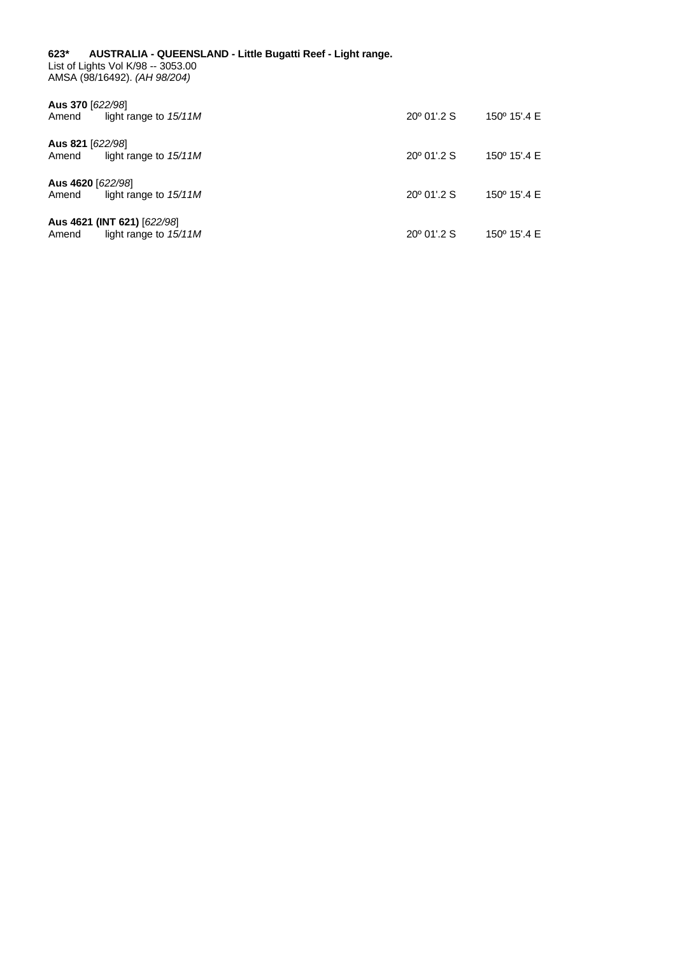#### <span id="page-11-0"></span>**623\* AUSTRALIA - QUEENSLAND - Little Bugatti Reef - Light range.** List of Lights Vol K/98 -- 3053.00 AMSA (98/16492). *(AH 98/204)*

| Aus 370 [622/98]<br>light range to $15/11M$<br>Amend            | $20^{\circ}$ 01'.2 S | 150 $^{\circ}$ 15'.4 E |
|-----------------------------------------------------------------|----------------------|------------------------|
| Aus 821 [622/98]<br>light range to $15/11M$<br>Amend            | $20^{\circ}$ 01'.2 S | 150 $^{\circ}$ 15'.4 E |
| Aus 4620 [622/98]<br>light range to $15/11M$<br>Amend           | $20^{\circ}$ 01'.2 S | 150 $^{\circ}$ 15'.4 E |
| Aus 4621 (INT 621) [622/98]<br>light range to $15/11M$<br>Amend | $20^{\circ}$ 01'.2 S | 150° 15'.4 E           |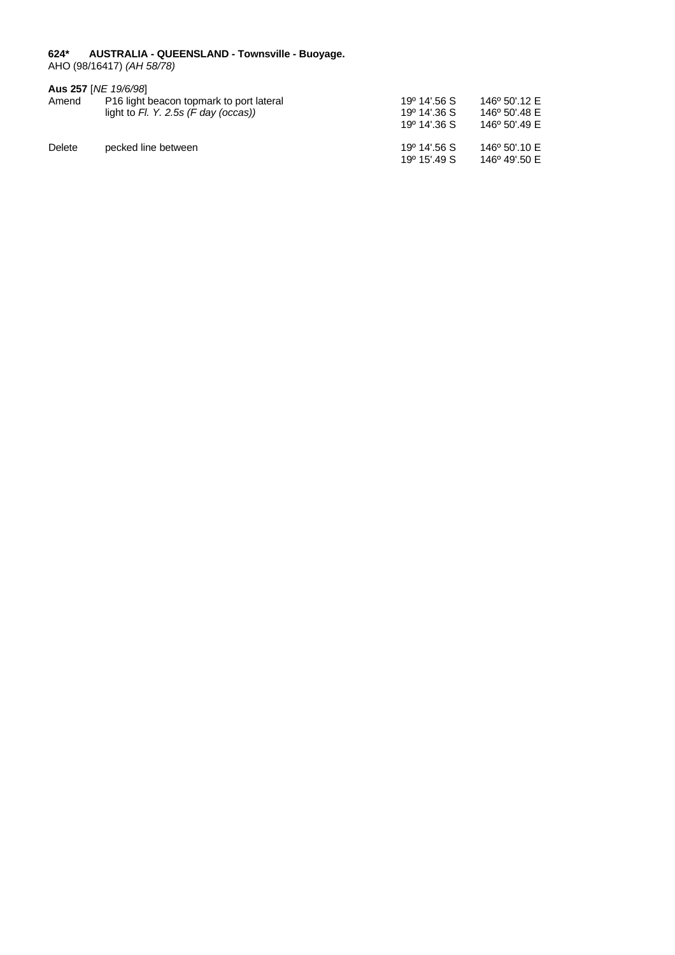#### <span id="page-12-0"></span>**624\* AUSTRALIA - QUEENSLAND - Townsville - Buoyage.**

AHO (98/16417) *(AH 58/78)*

|        | Aus 257 [NE 19/6/98]                                 |                          |               |
|--------|------------------------------------------------------|--------------------------|---------------|
| Amend  | P <sub>16</sub> light beacon topmark to port lateral | 19 <sup>o</sup> 14'.56 S | 146° 50'.12 E |
|        | light to $FI.$ Y. 2.5s (F day (occas))               | 19 <sup>o</sup> 14'.36 S | 146° 50'.48 E |
|        |                                                      | 19 <sup>°</sup> 14'.36 S | 146° 50'.49 E |
| Delete | pecked line between                                  | 19 <sup>o</sup> 14'.56 S | 146° 50'.10 E |
|        |                                                      | 19 <sup>o</sup> 15'.49 S | 146° 49'.50 E |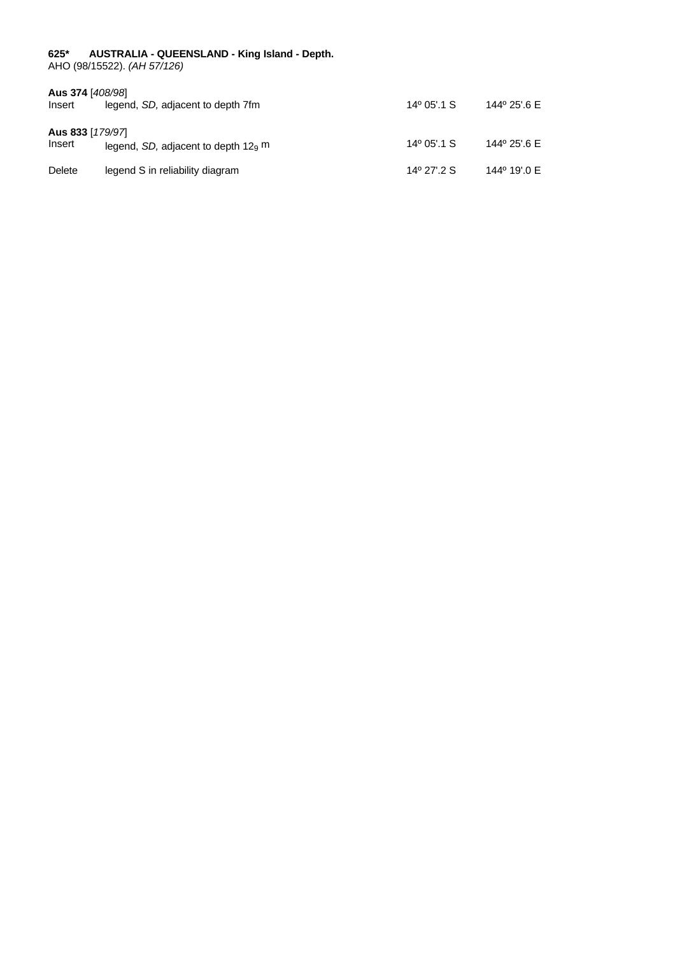#### <span id="page-13-0"></span>**625\* AUSTRALIA - QUEENSLAND - King Island - Depth.**

AHO (98/15522). *(AH 57/126)*

| Aus 374 [408/98]<br>Insert | legend, SD, adjacent to depth 7fm     | $14^{\circ}$ 05'.1 S | 144° 25'.6 E |
|----------------------------|---------------------------------------|----------------------|--------------|
| Aus 833 [179/97]<br>Insert | legend, SD, adjacent to depth $129$ m | $14^{\circ}$ 05'.1 S | 144° 25'.6 E |
| Delete                     | legend S in reliability diagram       | $14^{\circ}$ 27' 2 S | 144° 19'.0 E |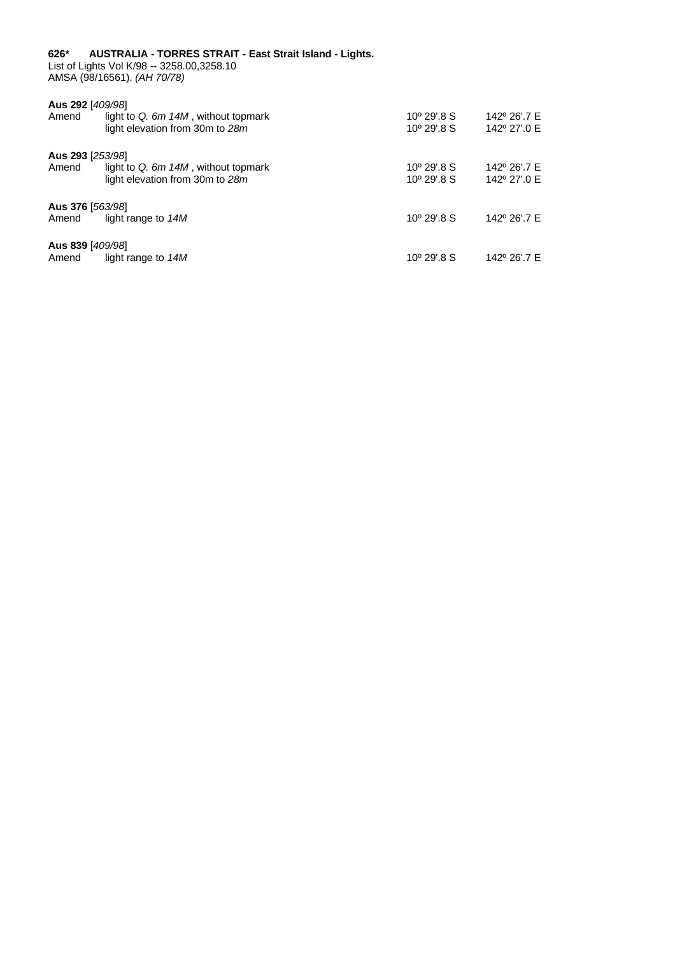#### <span id="page-14-0"></span>**626\* AUSTRALIA - TORRES STRAIT - East Strait Island - Lights.** List of Lights Vol K/98 -- 3258.00,3258.10

AMSA (98/16561). *(AH 70/78)*

| Aus 292 [409/98] |                                       |                      |              |
|------------------|---------------------------------------|----------------------|--------------|
| Amend            | light to Q. $6m$ 14M, without topmark | $10^{\circ}$ 29'.8 S | 142° 26'.7 E |
|                  | light elevation from 30m to 28m       | $10^{\circ}$ 29' 8 S | 142° 27'.0 E |
| Aus 293 [253/98] |                                       |                      |              |
| Amend            | light to Q. 6m 14M, without topmark   | $10^{\circ}$ 29' 8 S | 142° 26'.7 E |
|                  | light elevation from 30m to 28m       | $10^{\circ}$ 29'.8 S | 142° 27'.0 E |
| Aus 376 [563/98] |                                       |                      |              |
| Amend            | light range to 14M                    | $10^{\circ}$ 29' 8 S | 142° 26'.7 E |
| Aus 839 [409/98] |                                       |                      |              |
| Amend            | light range to 14M                    | $10^{\circ}$ 29'.8 S | 142° 26'.7 E |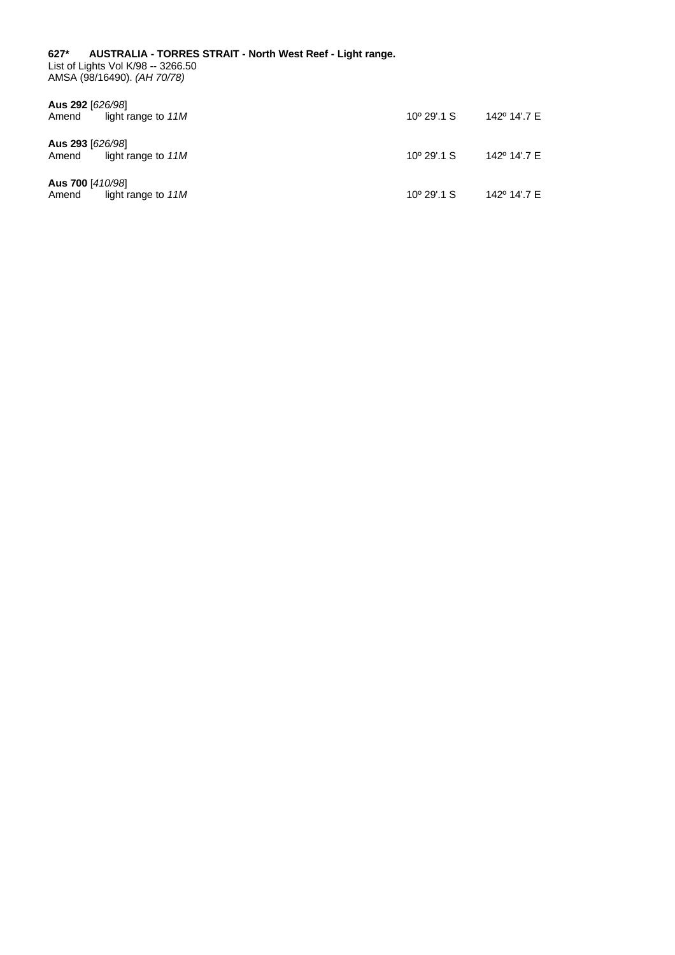<span id="page-15-0"></span>**627\* AUSTRALIA - TORRES STRAIT - North West Reef - Light range.** List of Lights Vol K/98 -- 3266.50 AMSA (98/16490). *(AH 70/78)*

| Aus 292 [626/98]<br>light range to 11M<br>Amend | $10^{\circ}$ 29'.1 S | 142° 14'.7 E |
|-------------------------------------------------|----------------------|--------------|
| Aus 293 [626/98]<br>light range to 11M<br>Amend | $10^{\circ}$ 29'.1 S | 142° 14'.7 E |
| Aus 700 [410/98]<br>light range to 11M<br>Amend | $10^{\circ}$ 29'.1 S | 142° 14'.7 E |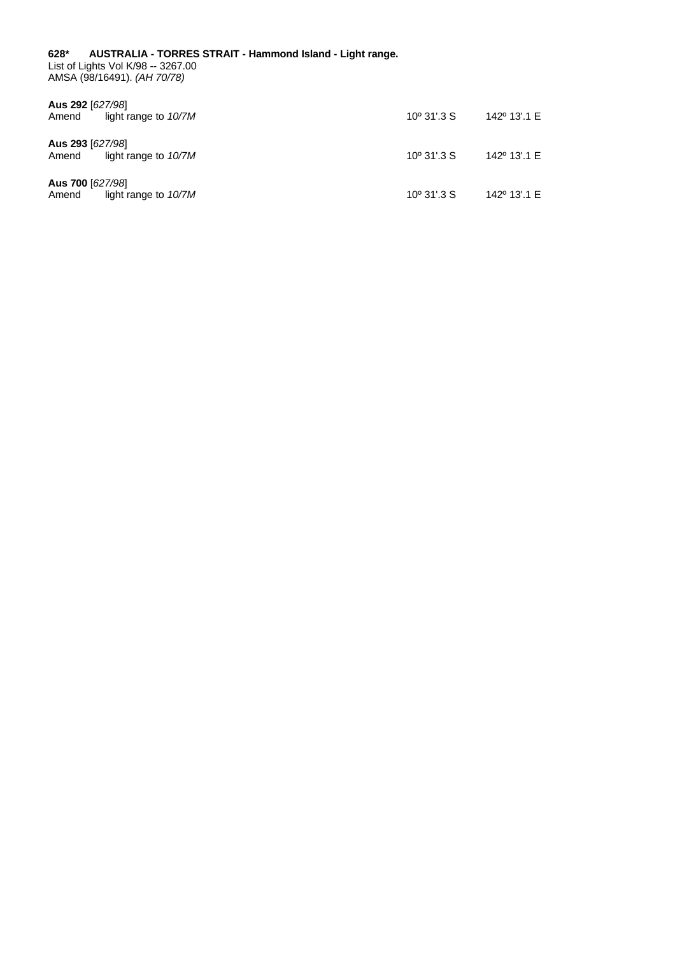<span id="page-16-0"></span>**628\* AUSTRALIA - TORRES STRAIT - Hammond Island - Light range.** List of Lights Vol K/98 -- 3267.00 AMSA (98/16491). *(AH 70/78)*

| Aus 292 [627/98]<br>light range to 10/7M<br>Amend | $10^{\circ}$ 31'.3 S | 142º 13'.1 E             |
|---------------------------------------------------|----------------------|--------------------------|
| Aus 293 [627/98]<br>light range to 10/7M<br>Amend | $10^{\circ}$ 31'.3 S | 142 <sup>o</sup> 13'.1 E |
| Aus 700 [627/98]<br>light range to 10/7M<br>Amend | $10^{\circ}$ 31'.3 S | 142º 13'.1 E             |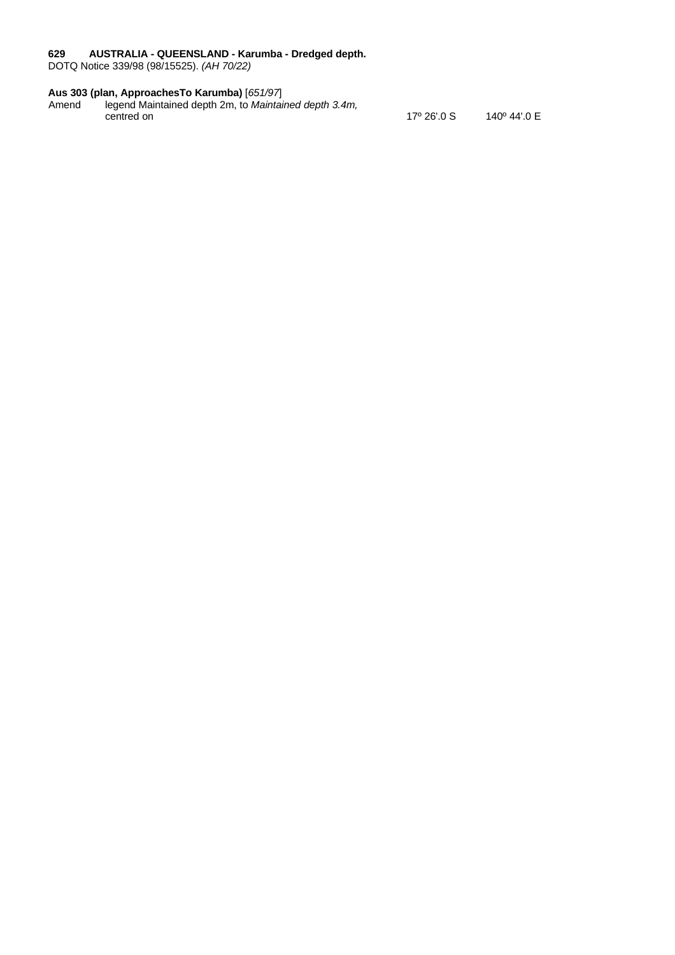#### <span id="page-17-0"></span>**629 AUSTRALIA - QUEENSLAND - Karumba - Dredged depth.**

DOTQ Notice 339/98 (98/15525). *(AH 70/22)*

#### **Aus 303 (plan, ApproachesTo Karumba)** [*651/97*]

Amend legend Maintained depth 2m, to *Maintained depth 3.4m,* centred on 17º 26'.0 S 140º 44'.0 E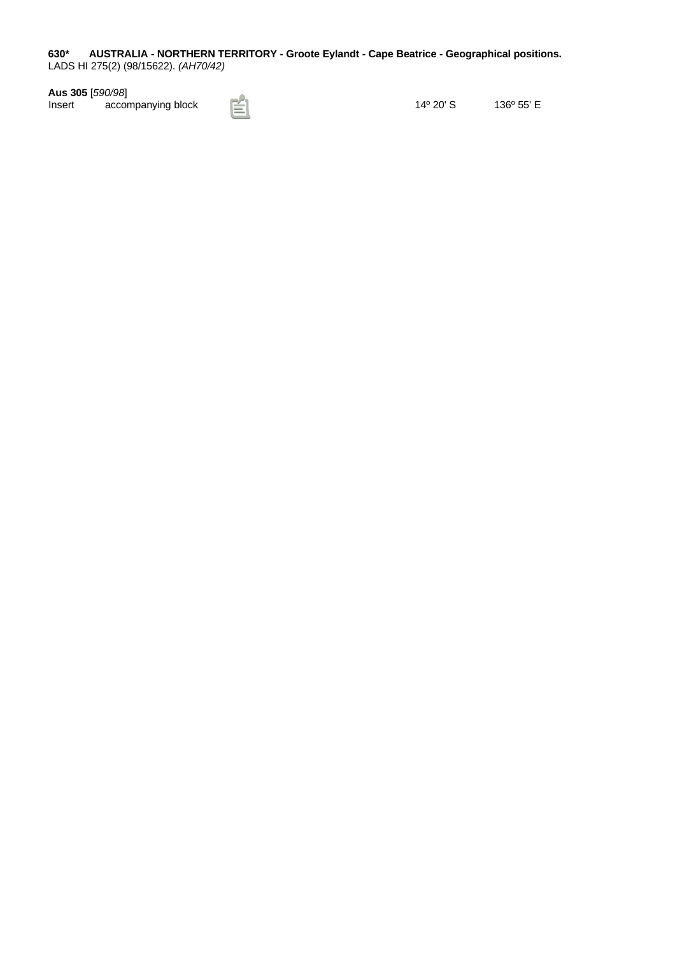<span id="page-18-0"></span>**630\* AUSTRALIA - NORTHERN TERRITORY - Groote Eylandt - Cape Beatrice - Geographical positions.** LADS HI 275(2) (98/15622). *(AH70/42)*

**Aus 305** [*590/98*]

14º 20' S 136º 55' E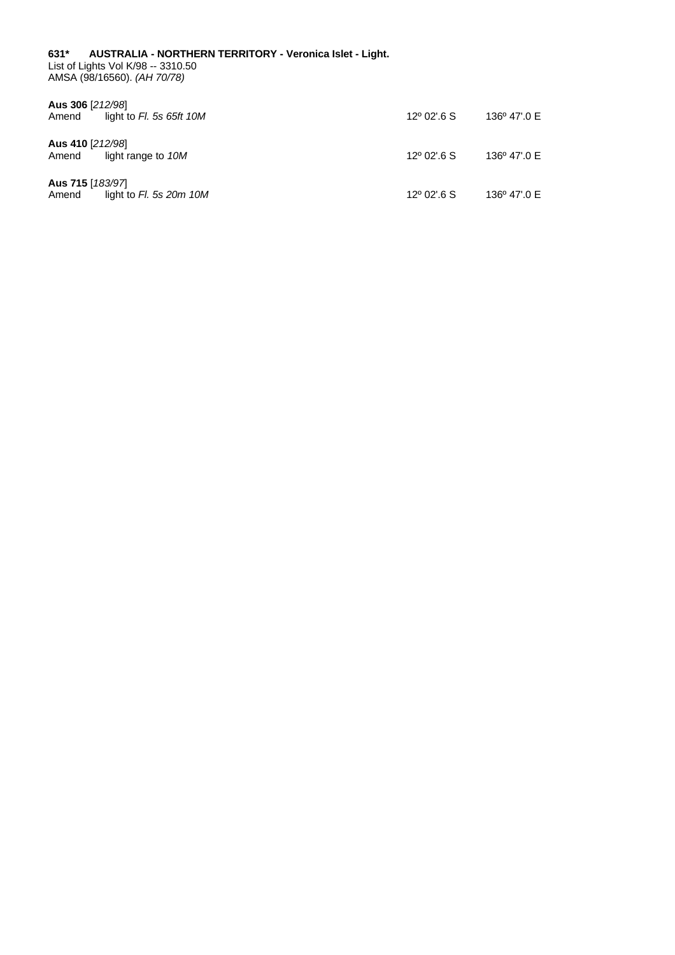#### <span id="page-19-0"></span>**631\* AUSTRALIA - NORTHERN TERRITORY - Veronica Islet - Light.** List of Lights Vol K/98 -- 3310.50 AMSA (98/16560). *(AH 70/78)*

| Aus 306 [212/98]<br>light to $FI.$ 5s 65ft 10M<br>Amend | $12^{\circ}$ 02'.6 S | 136° 47'.0 E |
|---------------------------------------------------------|----------------------|--------------|
| Aus 410 [212/98]<br>light range to 10M<br>Amend         | $12^{\circ}$ 02'.6 S | 136° 47'.0 E |
| Aus 715 [183/97]<br>light to $Fl.$ 5s 20m 10M<br>Amend  | $12^{\circ}$ 02'.6 S | 136° 47'.0 E |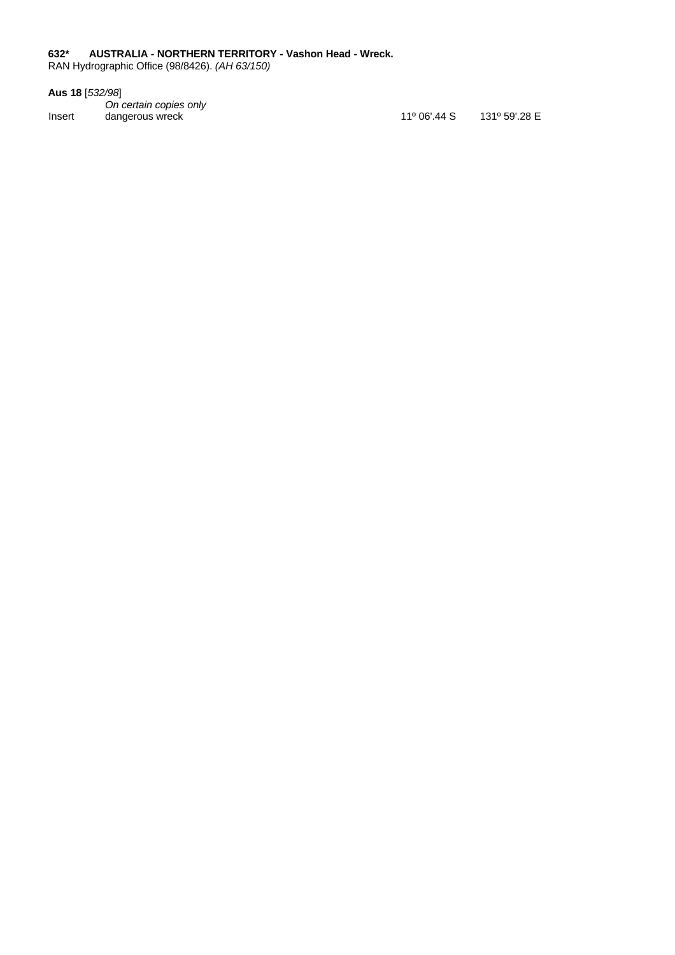## <span id="page-20-0"></span>**632\* AUSTRALIA - NORTHERN TERRITORY - Vashon Head - Wreck.**

RAN Hydrographic Office (98/8426). *(AH 63/150)*

**Aus 18** [*532/98*]

*On certain copies only* Insert dangerous wreck 11° 06'.44 S 131º 59'.28 E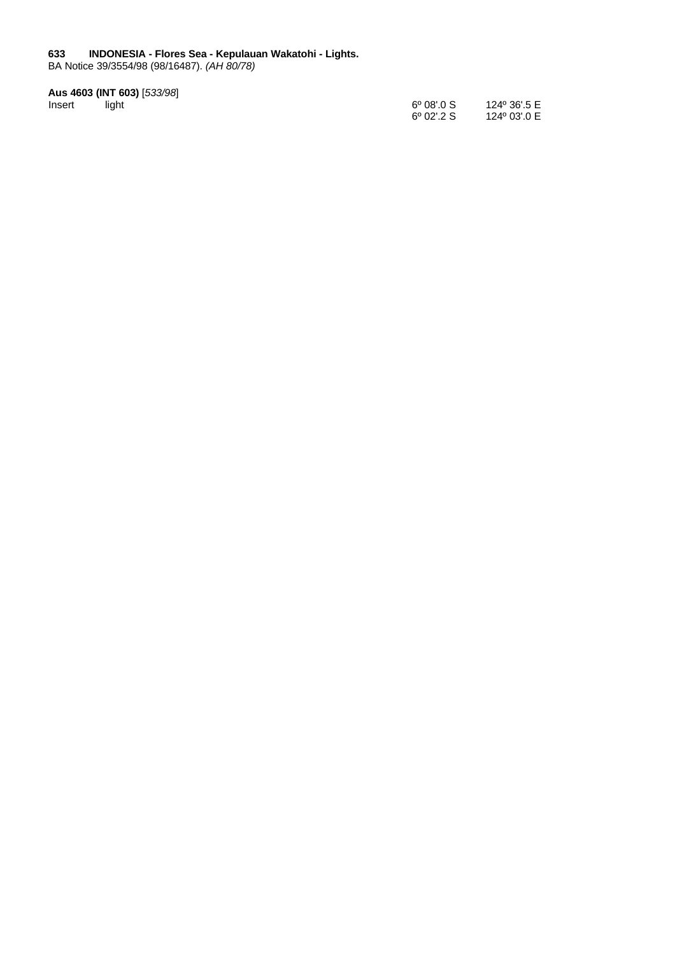#### <span id="page-21-0"></span>**633 INDONESIA - Flores Sea - Kepulauan Wakatohi - Lights.**

BA Notice 39/3554/98 (98/16487). *(AH 80/78)*

#### **Aus 4603 (INT 603)** [*533/98*]

| Insert | light | $6^{\circ}$ 08'.0 S | 124º 36'.5 E |
|--------|-------|---------------------|--------------|
|        |       | $6^{\circ}$ 02'.2 S | 124º 03'.0 E |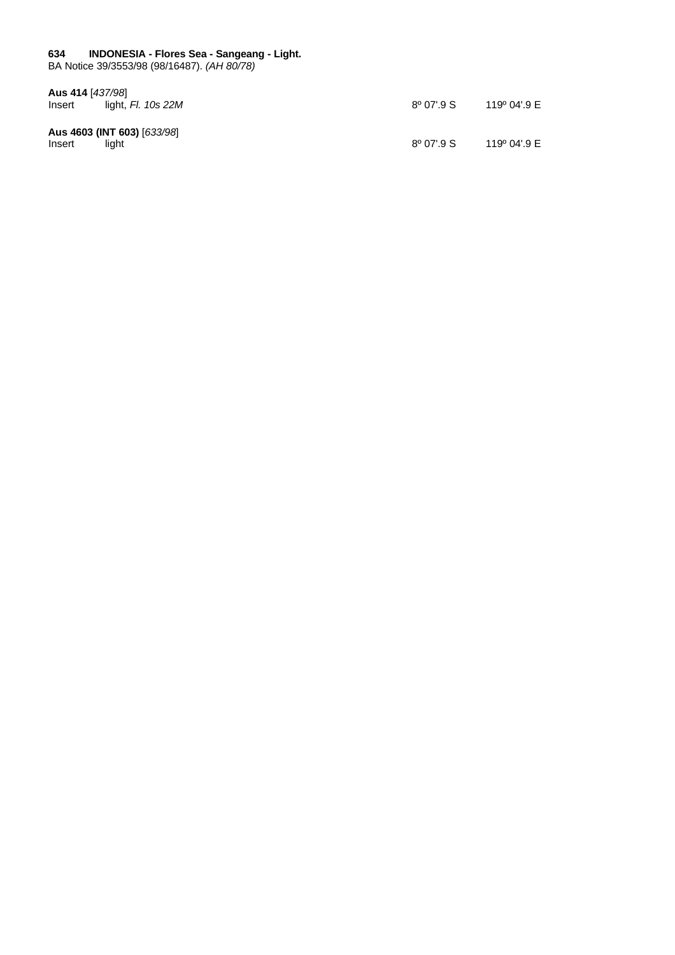# <span id="page-22-0"></span>**634 INDONESIA - Flores Sea - Sangeang - Light.**

BA Notice 39/3553/98 (98/16487). *(AH 80/78)*

| Aus 414 [437/98] |                             |                     |              |
|------------------|-----------------------------|---------------------|--------------|
| Insert           | light, Fl. 10s 22M          | $8^{\circ}$ 07'.9 S | 119º 04'.9 E |
|                  | Aus 4603 (INT 603) [633/98] |                     |              |
| Insert           | liaht                       | $8^{\circ}$ 07'.9 S | 119º 04'.9 E |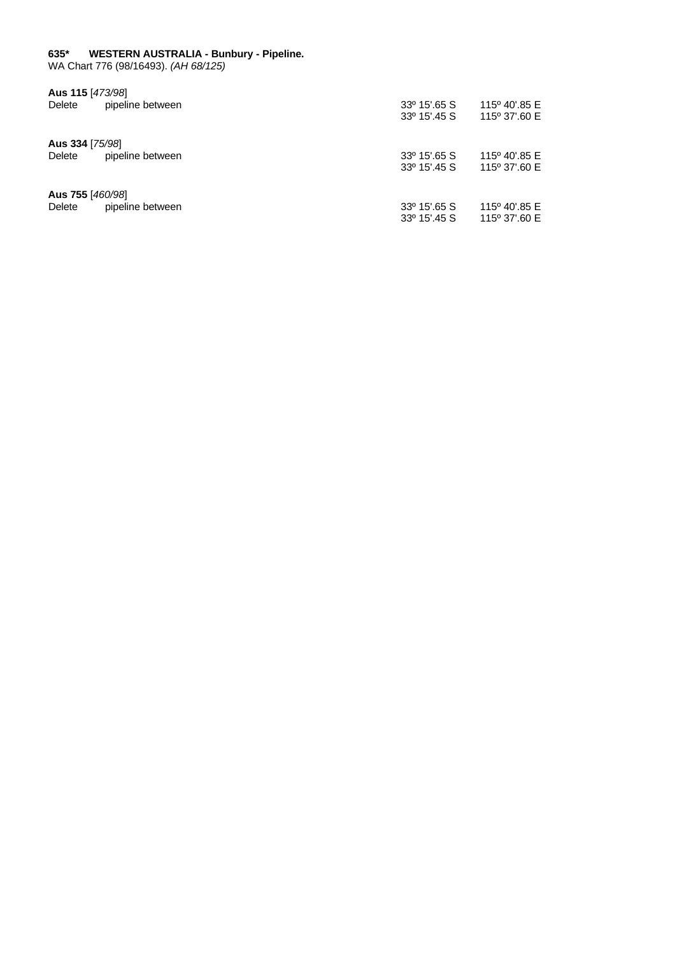#### <span id="page-23-0"></span>**635\* WESTERN AUSTRALIA - Bunbury - Pipeline.**

WA Chart 776 (98/16493). *(AH 68/125)*

| Aus 115 [473/98]<br>Delete | pipeline between | 33º 15'.65 S          | 115° 40'.85 E |
|----------------------------|------------------|-----------------------|---------------|
|                            |                  | 33° 15'.45 S          | 115° 37'.60 E |
| Aus 334 [75/98]            |                  |                       |               |
| Delete                     | pipeline between | $33^{\circ}$ 15'.65 S | 115° 40'.85 E |
|                            |                  | 33° 15'.45 S          | 115° 37'.60 E |
| Aus 755 [460/98]           |                  |                       |               |
| Delete                     | pipeline between | 33° 15'.65 S          | 115° 40'.85 E |
|                            |                  | 33° 15'.45 S          | 115° 37'.60 E |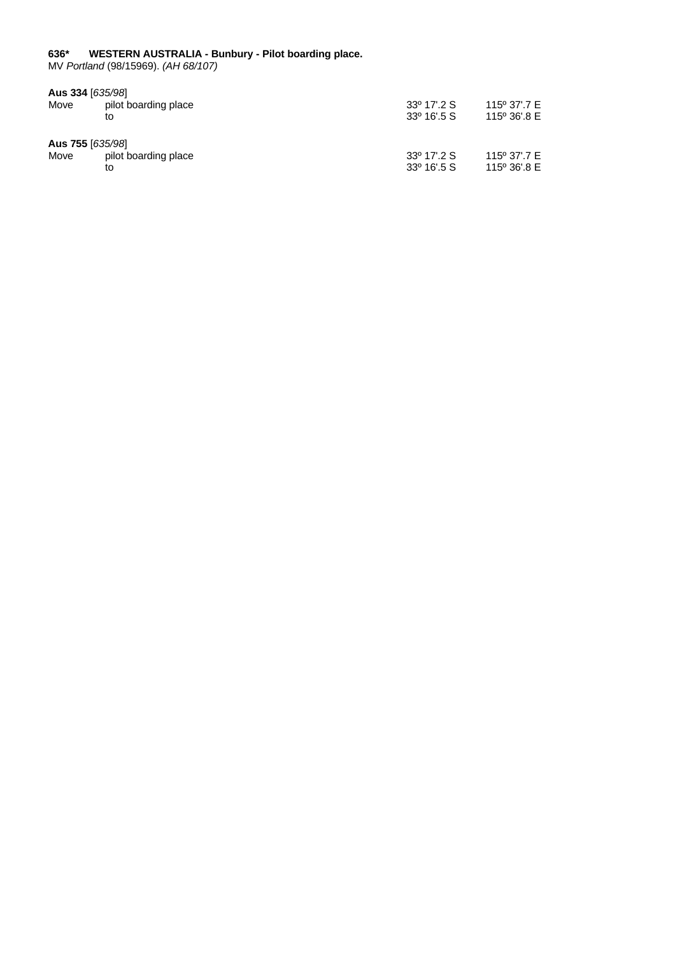#### <span id="page-24-0"></span>**636\* WESTERN AUSTRALIA - Bunbury - Pilot boarding place.**

MV *Portland* (98/15969). *(AH 68/107)*

| Aus 334 [635/98] |                      |                      |              |
|------------------|----------------------|----------------------|--------------|
| Move             | pilot boarding place | 33º 17'.2 S          | 115° 37'.7 E |
|                  | to                   | $33^{\circ}$ 16'.5 S | 115° 36'.8 E |
| Aus 755 [635/98] |                      |                      |              |
| Move             | pilot boarding place | 33º 17'.2 S          | 115° 37'.7 E |
|                  | to                   | $33^{\circ}$ 16'.5 S | 115° 36'.8 E |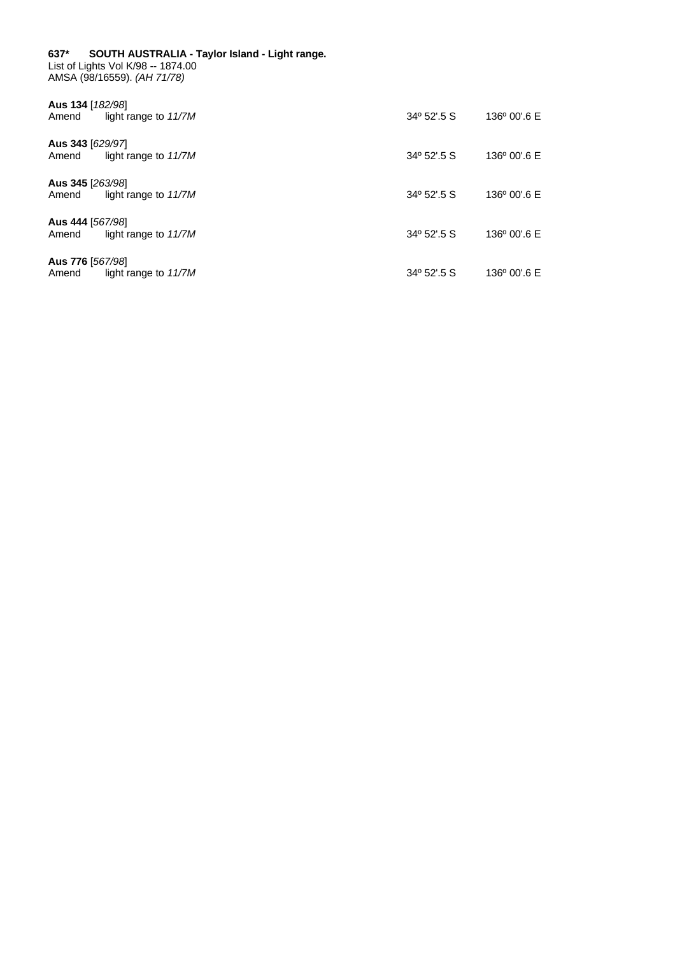#### <span id="page-25-0"></span>**637\* SOUTH AUSTRALIA - Taylor Island - Light range.** List of Lights Vol K/98 -- 1874.00

AMSA (98/16559). *(AH 71/78)*

| Aus 134 [182/98]<br>Amend | light range to $11/7M$ | $34^{\circ}$ 52'.5 S | $136^{\circ}$ 00'.6 E |
|---------------------------|------------------------|----------------------|-----------------------|
| Aus 343 [629/97]<br>Amend | light range to $11/7M$ | $34^{\circ}$ 52'.5 S | $136^{\circ}$ 00'.6 E |
| Aus 345 [263/98]<br>Amend | light range to $11/7M$ | 34º 52'.5 S          | $136^{\circ}$ 00'.6 E |
| Aus 444 [567/98]<br>Amend | light range to $11/7M$ | 34º 52'.5 S          | 136° 00'.6 E          |
| Aus 776 [567/98]<br>Amend | light range to 11/7M   | 34º 52'.5 S          | 136° 00'.6 E          |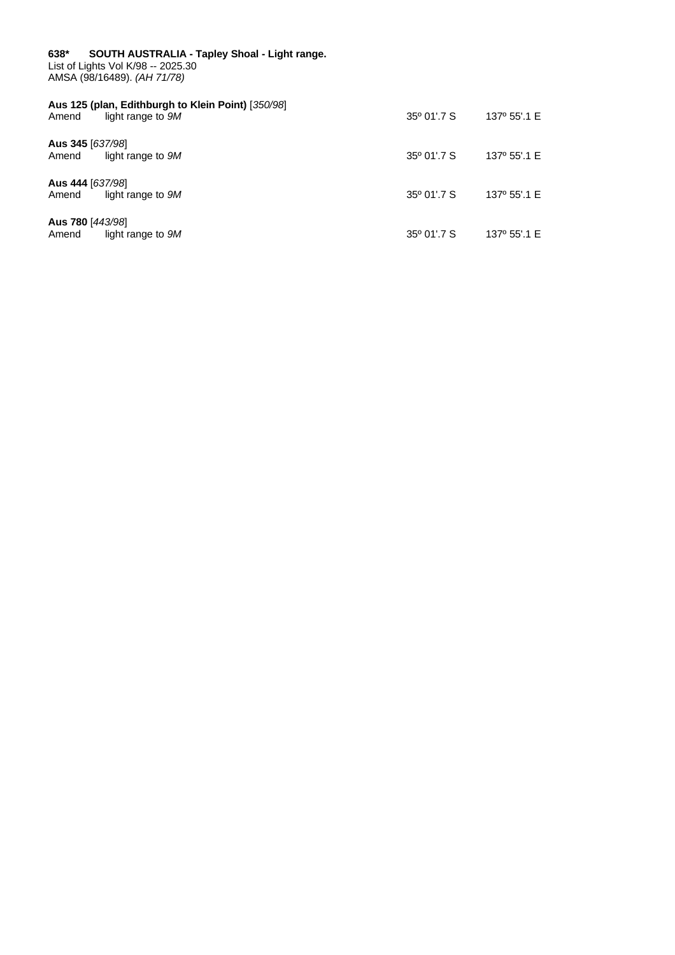<span id="page-26-0"></span>

| 638* SOUTH AUSTRALIA - Tapley Shoal - Light range.<br>List of Lights Vol K/98 -- 2025.30<br>AMSA (98/16489). (AH 71/78) |                                                                         |                      |              |  |
|-------------------------------------------------------------------------------------------------------------------------|-------------------------------------------------------------------------|----------------------|--------------|--|
| Amend                                                                                                                   | Aus 125 (plan, Edithburgh to Klein Point) [350/98]<br>light range to 9M | $35^{\circ}$ 01'.7 S | 137° 55'.1 E |  |
| Aus 345 [637/98]<br>Amend                                                                                               | light range to 9M                                                       | $35^{\circ}$ 01'.7 S | 137° 55'.1 E |  |
| Aus 444 [637/98]<br>Amend                                                                                               | light range to 9M                                                       | $35^{\circ}$ 01'.7 S | 137° 55'.1 E |  |
| Aus 780 [443/98]<br>Amend                                                                                               | light range to 9M                                                       | $35^{\circ}$ 01'.7 S | 137° 55'.1 E |  |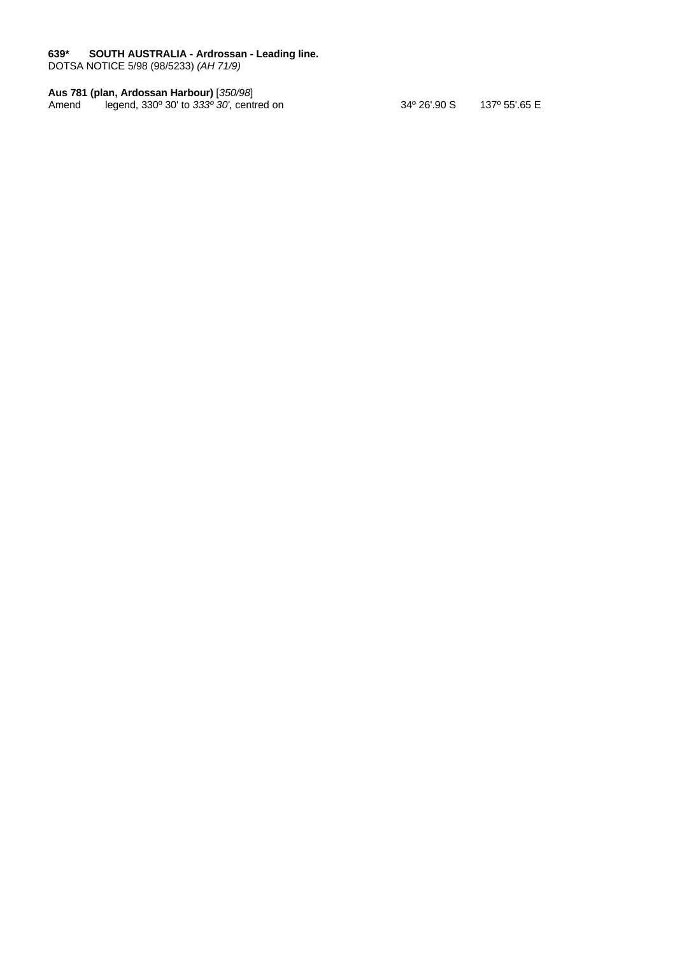#### <span id="page-27-0"></span>**639\* SOUTH AUSTRALIA - Ardrossan - Leading line.**

DOTSA NOTICE 5/98 (98/5233) *(AH 71/9)*

#### **Aus 781 (plan, Ardossan Harbour)** [*350/98*]

Amend legend, 330º 30' to *333º 30',* centred on 34º 26'.90 S 137º 55'.65 E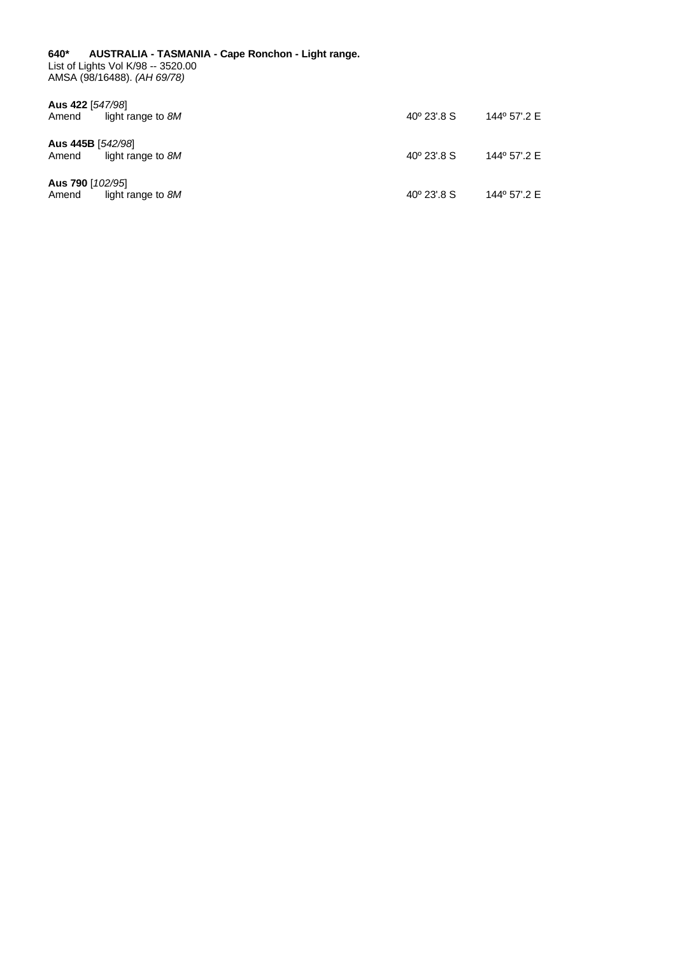<span id="page-28-0"></span>**640\* AUSTRALIA - TASMANIA - Cape Ronchon - Light range.** List of Lights Vol K/98 -- 3520.00 AMSA (98/16488). *(AH 69/78)*

| Aus 422 [547/98]<br>light range to 8M<br>Amend  | $40^{\circ}$ 23'.8 S | 144º 57'.2 E |
|-------------------------------------------------|----------------------|--------------|
| Aus 445B [542/98]<br>light range to 8M<br>Amend | $40^{\circ}$ 23'.8 S | 144º 57'.2 E |
| Aus 790 [102/95]<br>light range to 8M<br>Amend  | $40^{\circ}$ 23'.8 S | 144° 57'.2 E |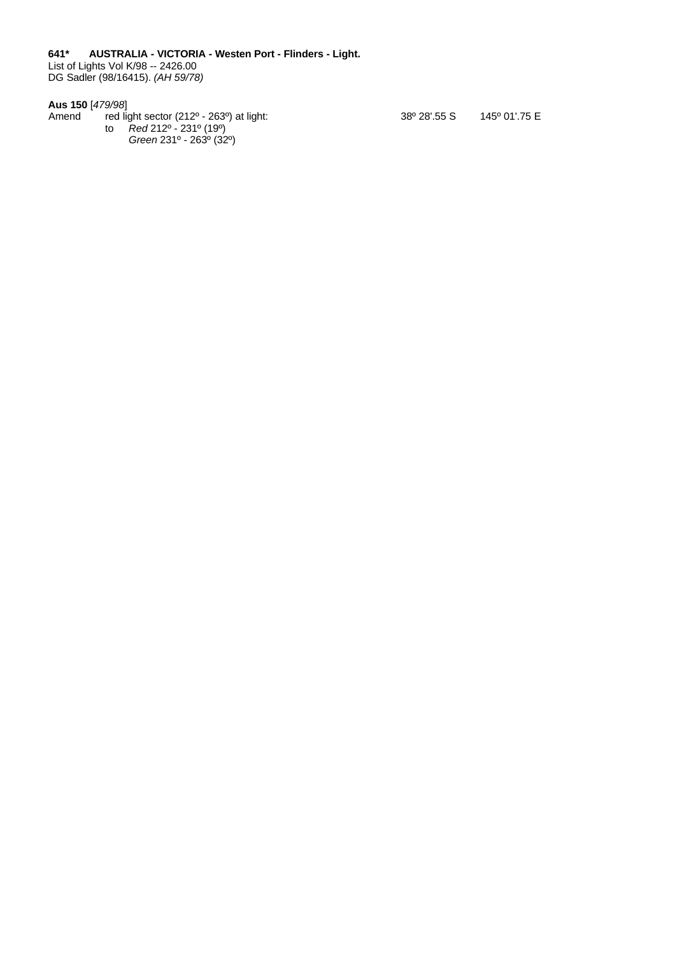<span id="page-29-0"></span>**641\* AUSTRALIA - VICTORIA - Westen Port - Flinders - Light.**

List of Lights Vol K/98 -- 2426.00 DG Sadler (98/16415). *(AH 59/78)*

#### **Aus 150** [*479/98*]

Amend red light sector (212º - 263º) at light: to *Red* 212º - 231º (19º) *Green* 231º - 263º (32º)

38º 28'.55 S 145º 01'.75 E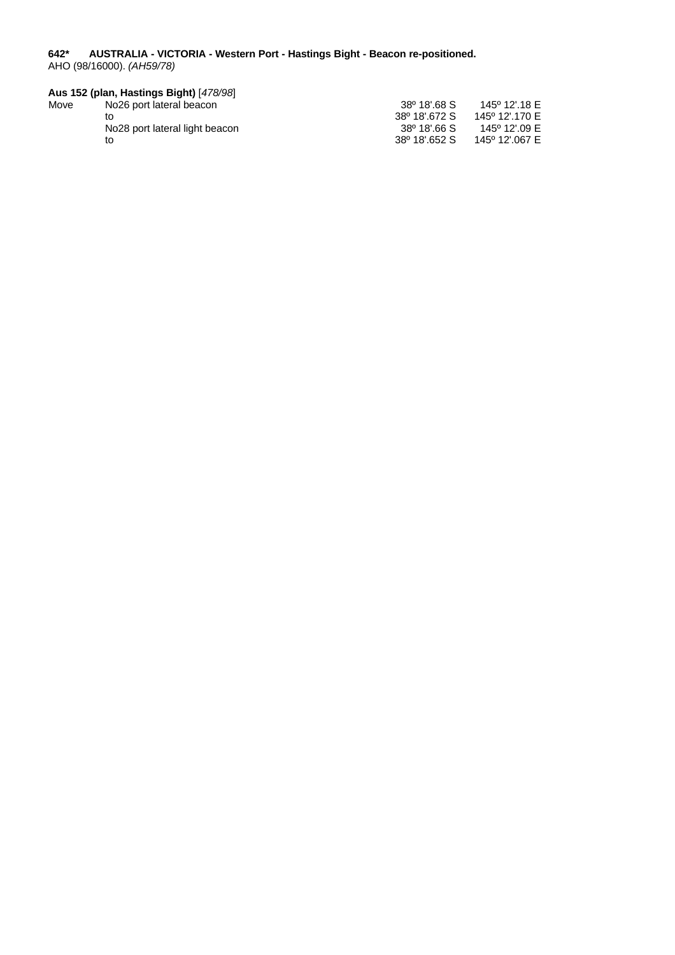#### <span id="page-30-0"></span>**642\* AUSTRALIA - VICTORIA - Western Port - Hastings Bight - Beacon re-positioned.** AHO (98/16000). *(AH59/78)*

|      | Aus 152 (plan, Hastings Bight) [478/98] |                           |                |
|------|-----------------------------------------|---------------------------|----------------|
| Move | No26 port lateral beacon                | 38 <sup>0</sup> 18'.68 S  | 145° 12'.18 E  |
|      | tΟ                                      | 38 <sup>°</sup> 18'.672 S | 145° 12'.170 E |
|      | No28 port lateral light beacon          | $38^{\circ}$ 18'.66 S     | 145° 12'.09 E  |
|      | to                                      | 38 <sup>°</sup> 18'.652 S | 145° 12'.067 E |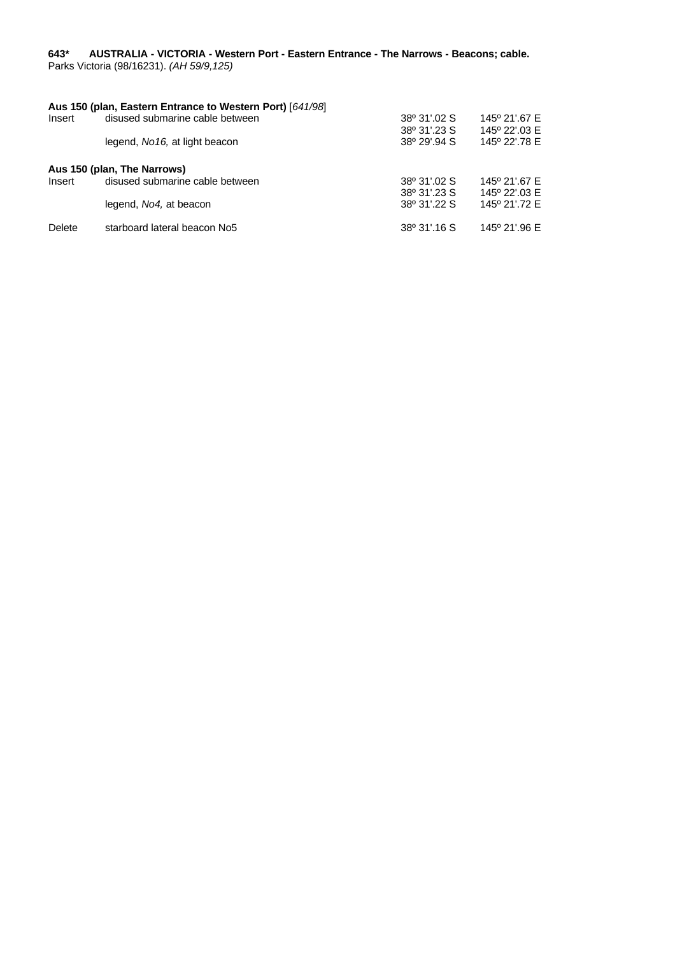#### <span id="page-31-0"></span>**643\* AUSTRALIA - VICTORIA - Western Port - Eastern Entrance - The Narrows - Beacons; cable.** Parks Victoria (98/16231). *(AH 59/9,125)*

# **Aus 150 (plan, Eastern Entrance to Western Port)** [*641/98*] disused submarine cable between 38º 31'.23 S 145º 22'.03 E legend, *No16,* at light beacon 38º 29'.94 S 145º 22'.78 E **Aus 150 (plan, The Narrows)** disused submarine cable between 38º 31'.02 S 145º 21'.67 E<br>38º 31'.23 S 145º 22'.03 E 38º 31'.23 S 145º 22'.03 E<br>38º 31'.22 S 145º 21'.72 E legend, *No4*, at beacon Delete starboard lateral beacon No5 38° 31'.16 S 145° 21'.96 E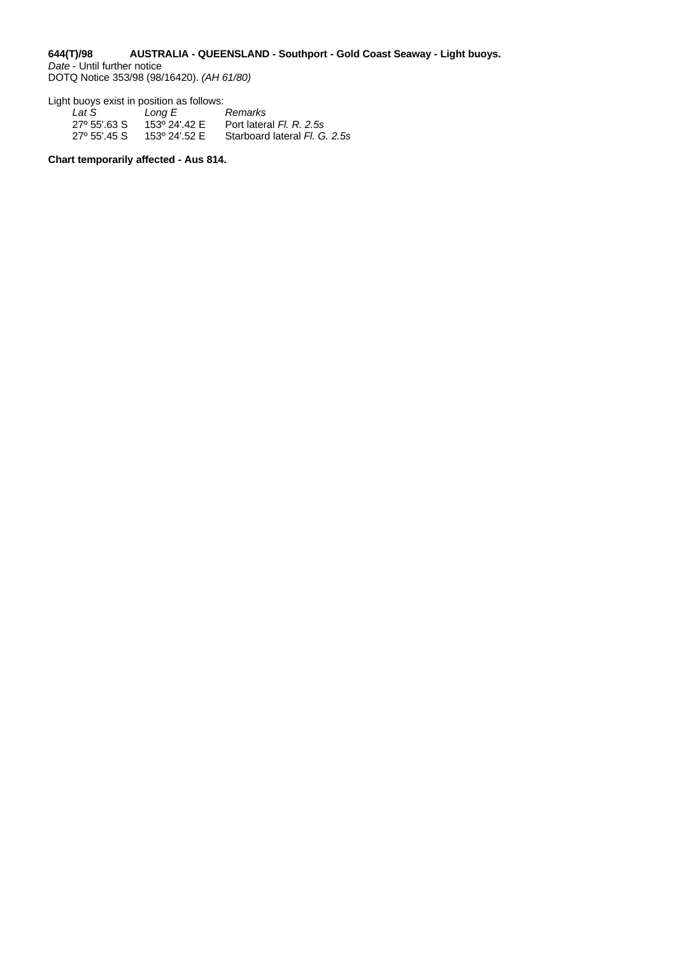#### <span id="page-32-0"></span>**644(T)/98 AUSTRALIA - QUEENSLAND - Southport - Gold Coast Seaway - Light buoys.** *Date* - Until further notice

DOTQ Notice 353/98 (98/16420). *(AH 61/80)*

Light buoys exist in position as follows:

| Lat S        | Long E        | Remarks                       |
|--------------|---------------|-------------------------------|
| 27° 55'.63 S | 153º 24'.42 E | Port lateral Fl. R. 2.5s      |
| 27º 55'.45 S | 153º 24'.52 E | Starboard lateral Fl. G. 2.5s |

**Chart temporarily affected - Aus 814.**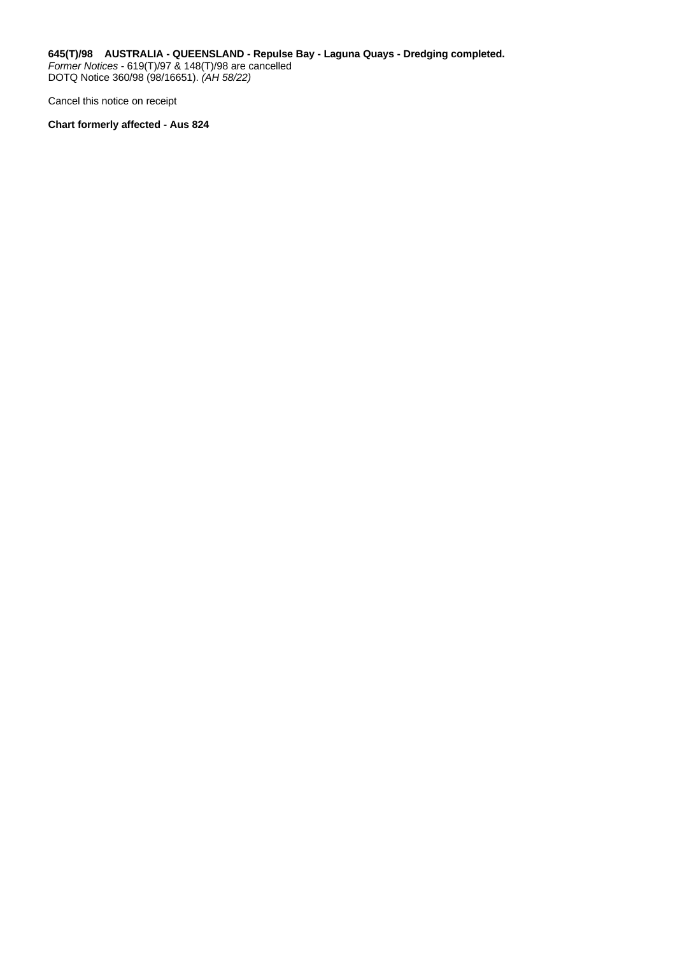<span id="page-33-0"></span>**645(T)/98 AUSTRALIA - QUEENSLAND - Repulse Bay - Laguna Quays - Dredging completed.** *Former Notices* - 619(T)/97 & 148(T)/98 are cancelled DOTQ Notice 360/98 (98/16651). *(AH 58/22)*

Cancel this notice on receipt

**Chart formerly affected - Aus 824**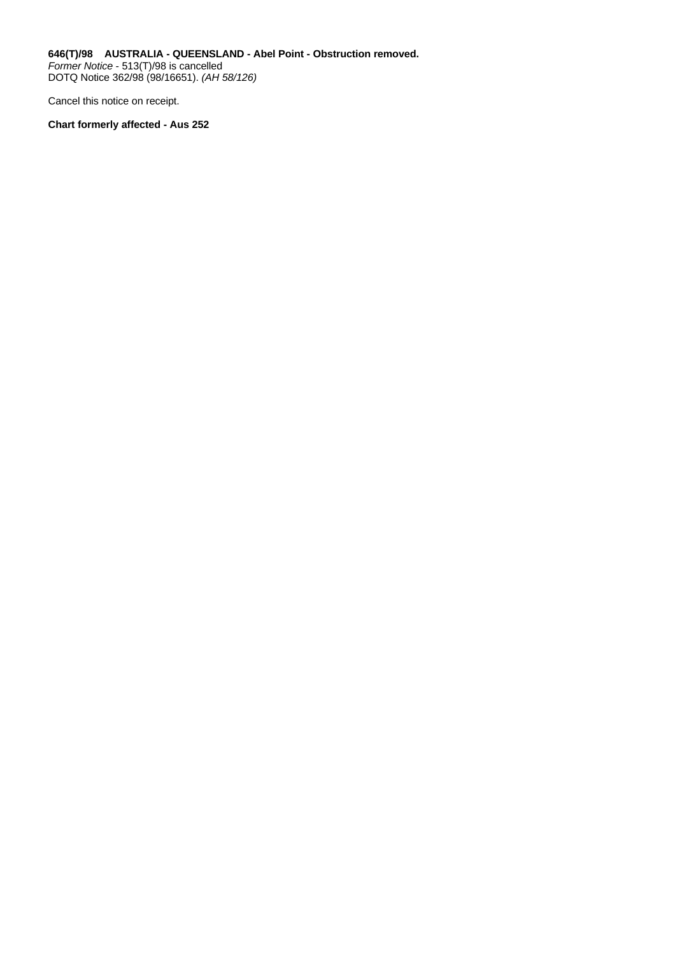<span id="page-34-0"></span>**646(T)/98 AUSTRALIA - QUEENSLAND - Abel Point - Obstruction removed.** *Former Notice* - 513(T)/98 is cancelled DOTQ Notice 362/98 (98/16651). *(AH 58/126)*

Cancel this notice on receipt.

**Chart formerly affected - Aus 252**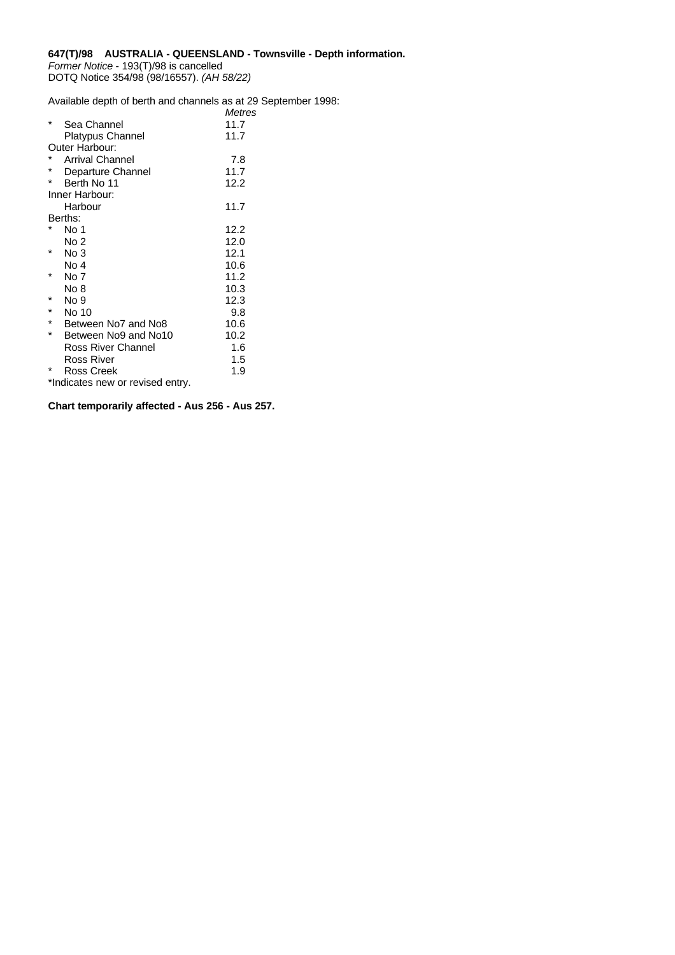#### <span id="page-35-0"></span>**647(T)/98 AUSTRALIA - QUEENSLAND - Townsville - Depth information.** *Former Notice* - 193(T)/98 is cancelled DOTQ Notice 354/98 (98/16557). *(AH 58/22)*

Available depth of berth and channels as at 29 September 1998: *Metres*

|         |                                  | wetres |
|---------|----------------------------------|--------|
|         | Sea Channel                      | 11.7   |
|         | Platypus Channel                 | 11.7   |
|         | Outer Harbour:                   |        |
|         | <b>Arrival Channel</b>           | 7.8    |
| $\ast$  | Departure Channel                | 11.7   |
| $\ast$  | Berth No 11                      | 12.2   |
|         | Inner Harbour:                   |        |
|         | Harbour                          | 11.7   |
|         | Berths:                          |        |
|         | No 1                             | 12.2   |
|         | No 2                             | 12.0   |
|         | No 3                             | 12.1   |
|         | No 4                             | 10.6   |
|         | No 7                             | 11.2   |
|         | No 8                             | 10.3   |
| *       | No 9                             | 12.3   |
|         | No 10                            | 9.8    |
| $\star$ | Between No7 and No8              | 10.6   |
| $\star$ | Between No9 and No10             | 10.2   |
|         | Ross River Channel               | 1.6    |
|         | Ross River                       | 1.5    |
|         | Ross Creek                       | 1.9    |
|         | *Indicates new or revised entry. |        |

**Chart temporarily affected - Aus 256 - Aus 257.**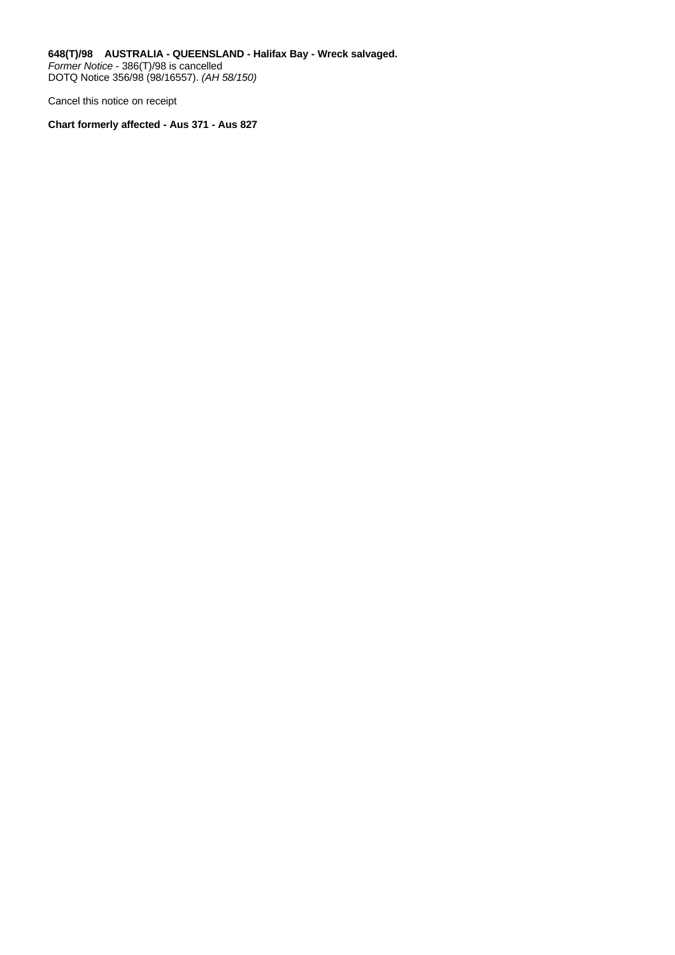<span id="page-36-0"></span>**648(T)/98 AUSTRALIA - QUEENSLAND - Halifax Bay - Wreck salvaged.** *Former Notice* - 386(T)/98 is cancelled DOTQ Notice 356/98 (98/16557). *(AH 58/150)*

Cancel this notice on receipt

**Chart formerly affected - Aus 371 - Aus 827**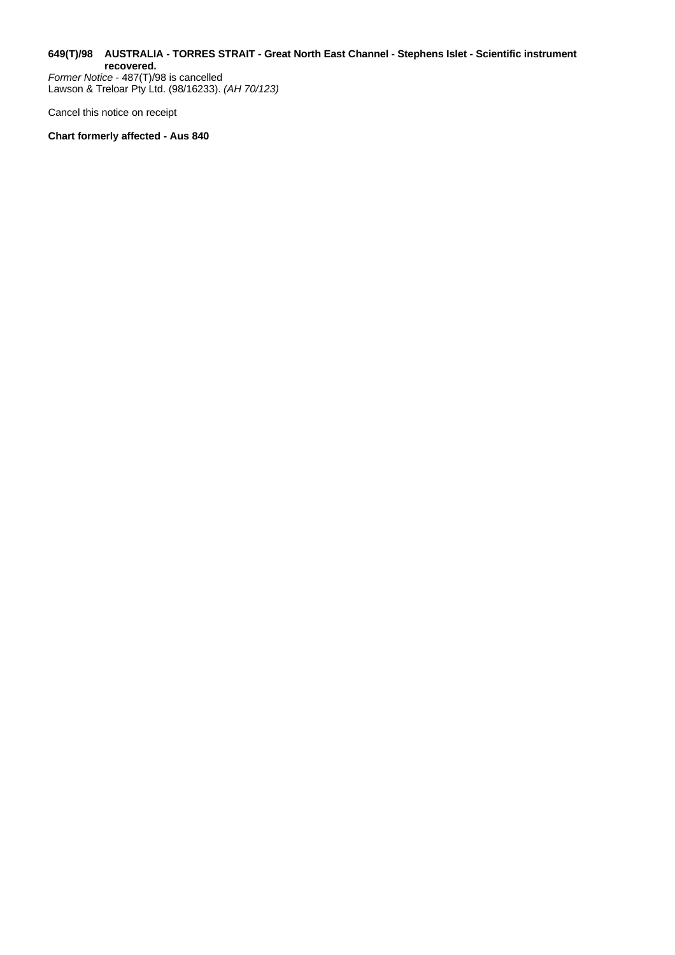#### <span id="page-37-0"></span>**649(T)/98 AUSTRALIA - TORRES STRAIT - Great North East Channel - Stephens Islet - Scientific instrument recovered.**

*Former Notice* - 487(T)/98 is cancelled Lawson & Treloar Pty Ltd. (98/16233). *(AH 70/123)*

Cancel this notice on receipt

**Chart formerly affected - Aus 840**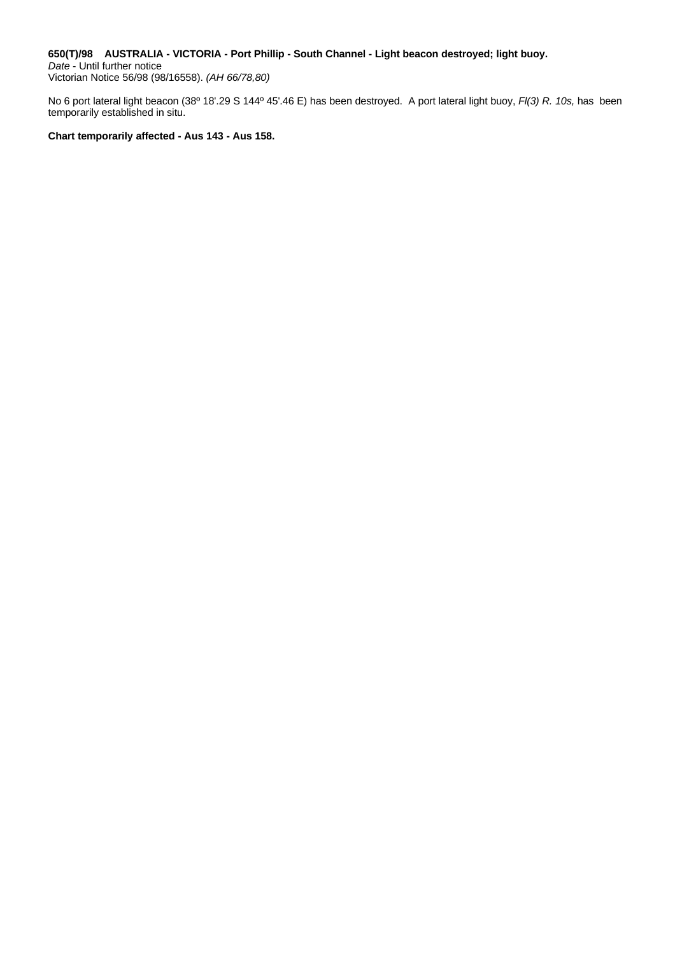#### <span id="page-38-0"></span>**650(T)/98 AUSTRALIA - VICTORIA - Port Phillip - South Channel - Light beacon destroyed; light buoy.**

*Date* - Until further notice Victorian Notice 56/98 (98/16558). *(AH 66/78,80)*

No 6 port lateral light beacon (38º 18'.29 S 144º 45'.46 E) has been destroyed. A port lateral light buoy, *Fl(3) R. 10s,* has been temporarily established in situ.

**Chart temporarily affected - Aus 143 - Aus 158.**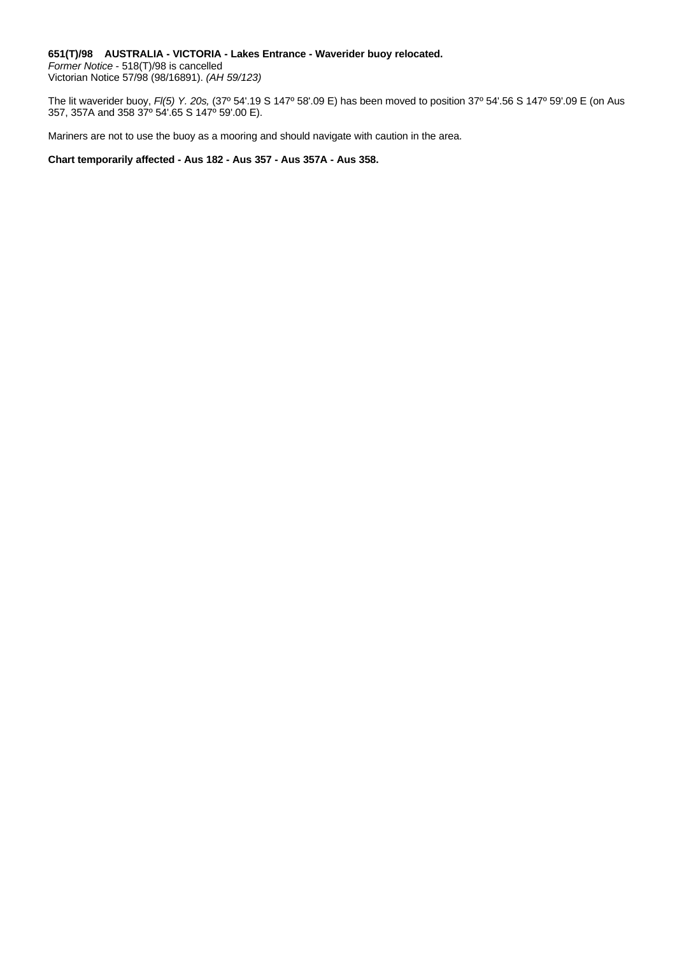### <span id="page-39-0"></span>**651(T)/98 AUSTRALIA - VICTORIA - Lakes Entrance - Waverider buoy relocated.** *Former Notice* - 518(T)/98 is cancelled

Victorian Notice 57/98 (98/16891). *(AH 59/123)*

The lit waverider buoy, *Fl(5) Y. 20s,* (37º 54'.19 S 147º 58'.09 E) has been moved to position 37º 54'.56 S 147º 59'.09 E (on Aus 357, 357A and 358 37º 54'.65 S 147º 59'.00 E).

Mariners are not to use the buoy as a mooring and should navigate with caution in the area.

**Chart temporarily affected - Aus 182 - Aus 357 - Aus 357A - Aus 358.**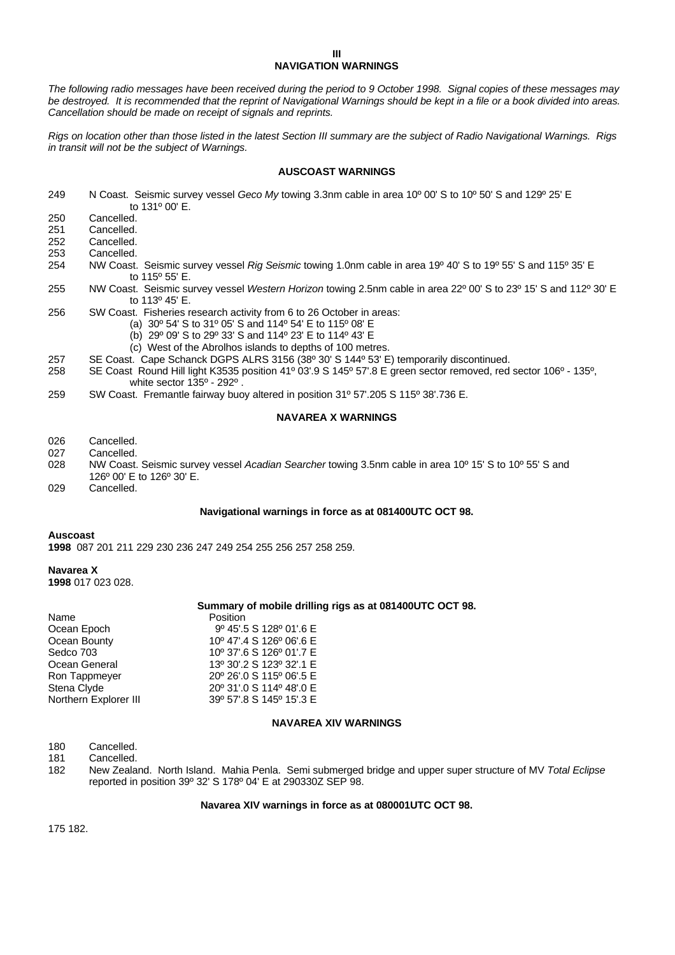#### **III NAVIGATION WARNINGS**

<span id="page-40-0"></span>*The following radio messages have been received during the period to 9 October 1998. Signal copies of these messages may be destroyed. It is recommended that the reprint of Navigational Warnings should be kept in a file or a book divided into areas. Cancellation should be made on receipt of signals and reprints.*

*Rigs on location other than those listed in the latest Section III summary are the subject of Radio Navigational Warnings. Rigs in transit will not be the subject of Warnings.*

#### **AUSCOAST WARNINGS**

- 249 N Coast. Seismic survey vessel *Geco My* towing 3.3nm cable in area 10º 00' S to 10º 50' S and 129º 25' E to 131º 00' E.
- 250 Cancelled.<br>251 Cancelled. Cancelled.
- 252 Cancelled.
- 253 Cancelled.
- 
- 254 NW Coast. Seismic survey vessel *Rig Seismic* towing 1.0nm cable in area 19º 40' S to 19º 55' S and 115º 35' E to 115º 55' E.
- 255 NW Coast. Seismic survey vessel *Western Horizon* towing 2.5nm cable in area 22º 00' S to 23º 15' S and 112º 30' E to 113º 45' E.
- 256 SW Coast. Fisheries research activity from 6 to 26 October in areas:
	- (a) 30º 54' S to 31º 05' S and 114º 54' E to 115º 08' E
	- (b) 29º 09' S to 29º 33' S and 114º 23' E to 114º 43' E
	- (c) West of the Abrolhos islands to depths of 100 metres.
- 257 SE Coast. Cape Schanck DGPS ALRS 3156 (38º 30' S 144º 53' E) temporarily discontinued.
- 258 SE Coast Round Hill light K3535 position 41º 03'.9 S 145º 57'.8 E green sector removed, red sector 106º 135º, white sector 135º - 292º .
- 259 SW Coast. Fremantle fairway buoy altered in position 31º 57'.205 S 115º 38'.736 E.

#### **NAVAREA X WARNINGS**

- 026 Cancelled.<br>027 Cancelled.
- Cancelled.
- 028 NW Coast. Seismic survey vessel *Acadian Searcher* towing 3.5nm cable in area 10º 15' S to 10º 55' S and 126º 00' E to 126º 30' E.
- 029 Cancelled.

#### **Navigational warnings in force as at 081400UTC OCT 98.**

#### **Auscoast**

**1998** 087 201 211 229 230 236 247 249 254 255 256 257 258 259.

#### **Navarea X**

**1998** 017 023 028.

#### **Summary of mobile drilling rigs as at 081400UTC OCT 98.**

| Position                 |
|--------------------------|
| 9º 45'.5 S 128º 01'.6 E  |
| 10° 47'.4 S 126° 06'.6 E |
| 10° 37'.6 S 126° 01'.7 E |
| 13º 30'.2 S 123º 32'.1 E |
| 20° 26' 0 S 115° 06' 5 E |
| 20° 31'.0 S 114° 48'.0 E |
| 39° 57'.8 S 145° 15'.3 E |
|                          |

#### **NAVAREA XIV WARNINGS**

180 Cancelled.

181 Cancelled.

182 New Zealand. North Island. Mahia Penla. Semi submerged bridge and upper super structure of MV *Total Eclipse* reported in position 39º 32' S 178º 04' E at 290330Z SEP 98.

#### **Navarea XIV warnings in force as at 080001UTC OCT 98.**

175 182.